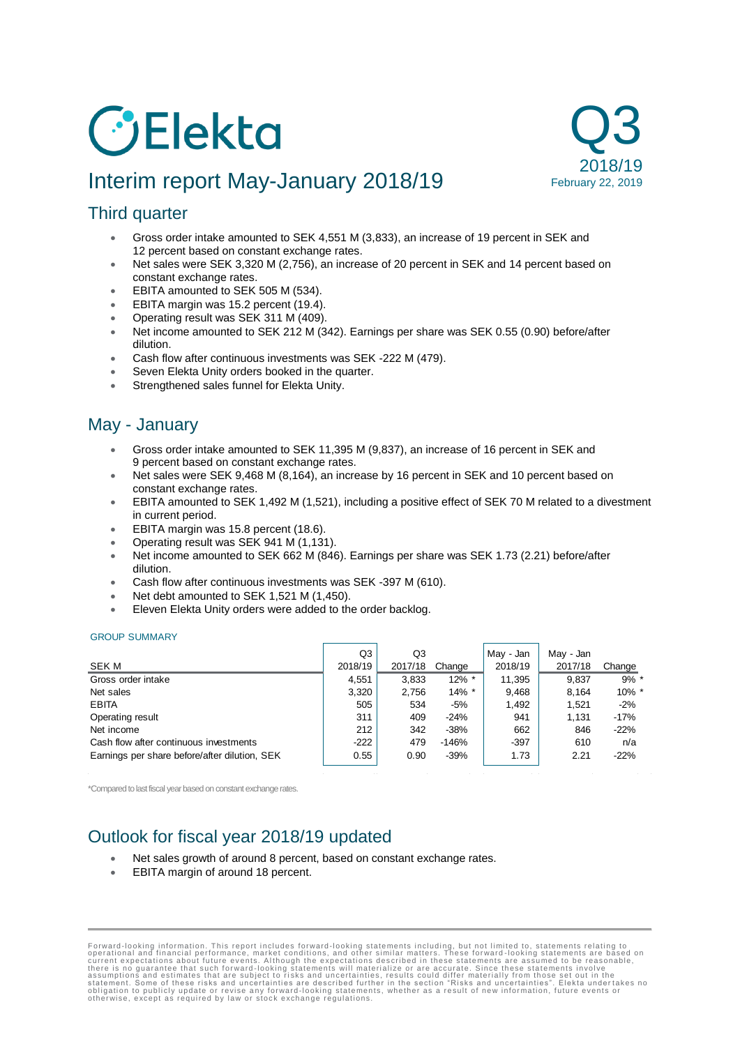# *C* Elekta

# Interim report May-January 2018/19



# Third quarter

- Gross order intake amounted to SEK 4,551 M (3,833), an increase of 19 percent in SEK and 12 percent based on constant exchange rates.
- Net sales were SEK 3,320 M (2,756), an increase of 20 percent in SEK and 14 percent based on constant exchange rates.
- EBITA amounted to SEK 505 M (534).
- EBITA margin was 15.2 percent (19.4).
- Operating result was SEK 311 M (409).
- Net income amounted to SEK 212 M (342). Earnings per share was SEK 0.55 (0.90) before/after dilution.
- Cash flow after continuous investments was SEK -222 M (479).
- Seven Elekta Unity orders booked in the quarter.
- Strengthened sales funnel for Elekta Unity.

# May - January

- Gross order intake amounted to SEK 11,395 M (9,837), an increase of 16 percent in SEK and 9 percent based on constant exchange rates.
- Net sales were SEK 9,468 M (8,164), an increase by 16 percent in SEK and 10 percent based on constant exchange rates.
- EBITA amounted to SEK 1,492 M (1,521), including a positive effect of SEK 70 M related to a divestment in current period.
- EBITA margin was 15.8 percent (18.6).
- Operating result was SEK 941 M (1,131).
- Net income amounted to SEK 662 M (846). Earnings per share was SEK 1.73 (2.21) before/after dilution.
- Cash flow after continuous investments was SEK -397 M (610).
- Net debt amounted to SEK 1,521 M (1,450).
- Eleven Elekta Unity orders were added to the order backlog.

#### GROUP SUMMARY

|                                               | Q3      | Q3      |          | May - Jan | May - Jan |          |
|-----------------------------------------------|---------|---------|----------|-----------|-----------|----------|
| SEK M                                         | 2018/19 | 2017/18 | Change   | 2018/19   | 2017/18   | Change   |
| Gross order intake                            | 4.551   | 3,833   | $12\%$ * | 11,395    | 9,837     | $9\%$ *  |
| Net sales                                     | 3.320   | 2.756   | $14\%$ * | 9.468     | 8.164     | $10\%$ * |
| <b>EBITA</b>                                  | 505     | 534     | -5%      | 1,492     | 1.521     | $-2%$    |
| Operating result                              | 311     | 409     | $-24%$   | 941       | 1.131     | $-17%$   |
| Net income                                    | 212     | 342     | $-38%$   | 662       | 846       | $-22%$   |
| Cash flow after continuous investments        | $-222$  | 479     | $-146%$  | $-397$    | 610       | n/a      |
| Earnings per share before/after dilution, SEK | 0.55    | 0.90    | $-39%$   | 1.73      | 2.21      | $-22%$   |

\*Compared to last fiscal year based on constant exchange rates.

# Outlook for fiscal year 2018/19 updated

- Net sales growth of around 8 percent, based on constant exchange rates.
- EBITA margin of around 18 percent.

Forward-looking information. This report includes forward-looking statements including, but not limited to, statements relating to corrent expectations about future events. Although the expectations described in these stat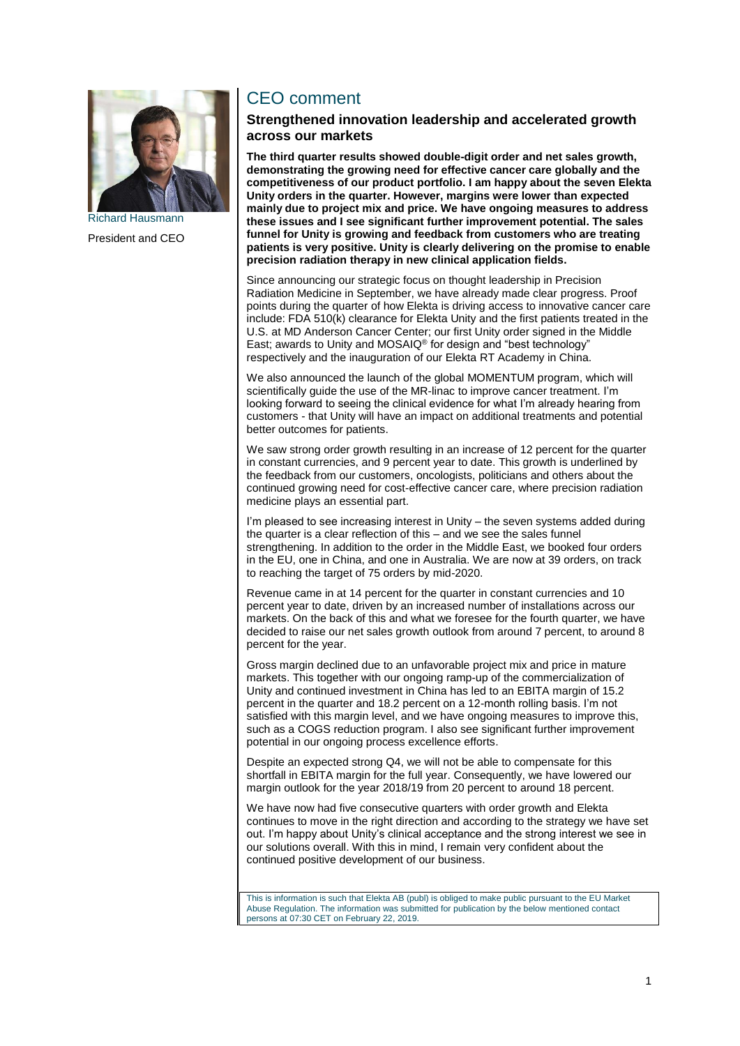

President and CEO

# CEO comment

#### **Strengthened innovation leadership and accelerated growth across our markets**

**The third quarter results showed double-digit order and net sales growth, demonstrating the growing need for effective cancer care globally and the competitiveness of our product portfolio. I am happy about the seven Elekta Unity orders in the quarter. However, margins were lower than expected mainly due to project mix and price. We have ongoing measures to address these issues and I see significant further improvement potential. The sales funnel for Unity is growing and feedback from customers who are treating patients is very positive. Unity is clearly delivering on the promise to enable precision radiation therapy in new clinical application fields.**

Since announcing our strategic focus on thought leadership in Precision Radiation Medicine in September, we have already made clear progress. Proof points during the quarter of how Elekta is driving access to innovative cancer care include: FDA 510(k) clearance for Elekta Unity and the first patients treated in the U.S. at MD Anderson Cancer Center; our first Unity order signed in the Middle East; awards to Unity and MOSAIQ® for design and "best technology" respectively and the inauguration of our Elekta RT Academy in China.

We also announced the launch of the global MOMENTUM program, which will scientifically guide the use of the MR-linac to improve cancer treatment. I'm looking forward to seeing the clinical evidence for what I'm already hearing from customers - that Unity will have an impact on additional treatments and potential better outcomes for patients.

We saw strong order growth resulting in an increase of 12 percent for the quarter in constant currencies, and 9 percent year to date. This growth is underlined by the feedback from our customers, oncologists, politicians and others about the continued growing need for cost-effective cancer care, where precision radiation medicine plays an essential part.

I'm pleased to see increasing interest in Unity – the seven systems added during the quarter is a clear reflection of this – and we see the sales funnel strengthening. In addition to the order in the Middle East, we booked four orders in the EU, one in China, and one in Australia. We are now at 39 orders, on track to reaching the target of 75 orders by mid-2020.

Revenue came in at 14 percent for the quarter in constant currencies and 10 percent year to date, driven by an increased number of installations across our markets. On the back of this and what we foresee for the fourth quarter, we have decided to raise our net sales growth outlook from around 7 percent, to around 8 percent for the year.

Gross margin declined due to an unfavorable project mix and price in mature markets. This together with our ongoing ramp-up of the commercialization of Unity and continued investment in China has led to an EBITA margin of 15.2 percent in the quarter and 18.2 percent on a 12-month rolling basis. I'm not satisfied with this margin level, and we have ongoing measures to improve this, such as a COGS reduction program. I also see significant further improvement potential in our ongoing process excellence efforts.

Despite an expected strong Q4, we will not be able to compensate for this shortfall in EBITA margin for the full year. Consequently, we have lowered our margin outlook for the year 2018/19 from 20 percent to around 18 percent.

We have now had five consecutive quarters with order growth and Elekta continues to move in the right direction and according to the strategy we have set out. I'm happy about Unity's clinical acceptance and the strong interest we see in our solutions overall. With this in mind, I remain very confident about the continued positive development of our business.

This is information is such that Elekta AB (publ) is obliged to make public pursuant to the EU Market Abuse Regulation. The information was submitted for publication by the below mentioned contact persons at 07:30 CET on February 22, 2019.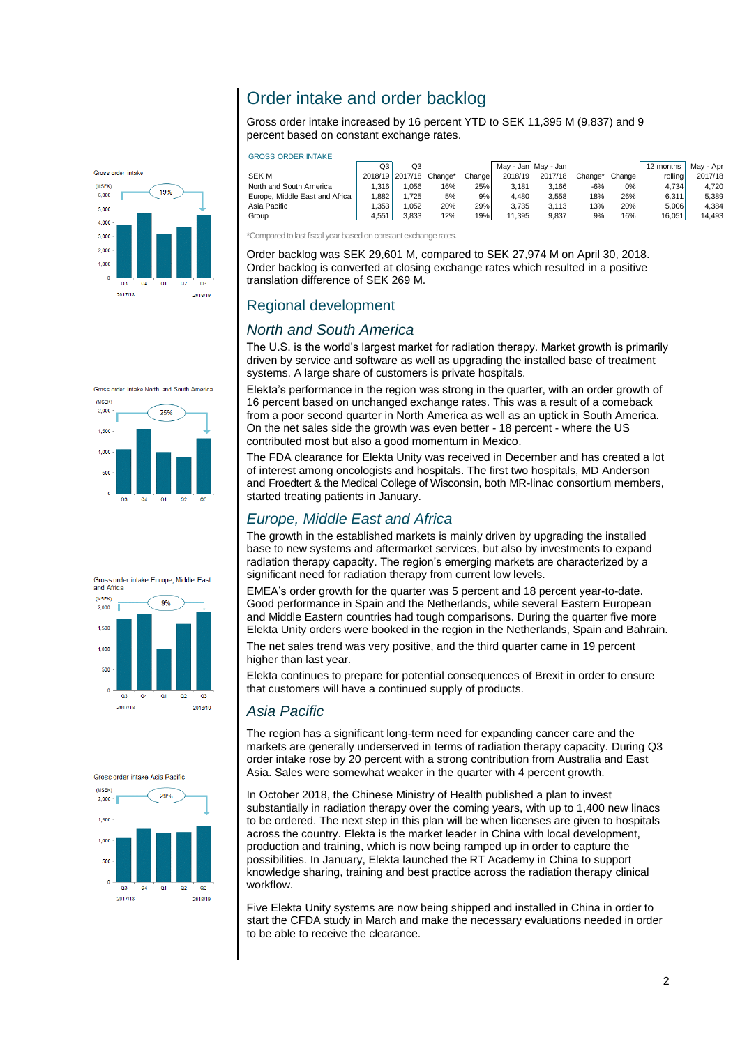# Order intake and order backlog

Gross order intake increased by 16 percent YTD to SEK 11,395 M (9,837) and 9 percent based on constant exchange rates.



| GNOOO ONDER INTANE             |       |                 |         |         |         |                     |         |        |           |           |
|--------------------------------|-------|-----------------|---------|---------|---------|---------------------|---------|--------|-----------|-----------|
|                                | Q3    | Q3              |         |         |         | May - Jan May - Jan |         |        | 12 months | May - Apr |
| SEK M                          |       | 2018/19 2017/18 | Change* | Changel | 2018/19 | 2017/18             | Change* | Change | rolling   | 2017/18   |
| North and South America        | 1.316 | 1.056           | 16%     | 25%     | 3.181   | 3.166               | -6%     | $0\%$  | 4.734     | 4.720     |
| Europe. Middle East and Africa | .882  | 1.725           | 5%      | 9%      | 4.480   | 3.558               | 18%     | 26%    | 6.311     | 5.389     |
| Asia Pacific                   | .353  | 1.052           | 20%     | 29%     | 3.735   | 3.113               | 13%     | 20%    | 5.006     | 4.384     |
| Group                          | 4.551 | 3.833           | 12%     | 19%     | 11.395  | 9.837               | 9%      | 16%    | 16.051    | 14.493    |

\*Compared to last fiscal year based on constant exchange rates.

Order backlog was SEK 29,601 M, compared to SEK 27,974 M on April 30, 2018. Order backlog is converted at closing exchange rates which resulted in a positive translation difference of SEK 269 M.

# Regional development

GROSS ORDER INTAKE

## *North and South America*

The U.S. is the world's largest market for radiation therapy. Market growth is primarily driven by service and software as well as upgrading the installed base of treatment systems. A large share of customers is private hospitals.

Elekta's performance in the region was strong in the quarter, with an order growth of 16 percent based on unchanged exchange rates. This was a result of a comeback from a poor second quarter in North America as well as an uptick in South America. On the net sales side the growth was even better - 18 percent - where the US contributed most but also a good momentum in Mexico.

The FDA clearance for Elekta Unity was received in December and has created a lot of interest among oncologists and hospitals. The first two hospitals, MD Anderson and Froedtert & the Medical College of Wisconsin, both MR-linac consortium members, started treating patients in January.

# *Europe, Middle East and Africa*

The growth in the established markets is mainly driven by upgrading the installed base to new systems and aftermarket services, but also by investments to expand radiation therapy capacity. The region's emerging markets are characterized by a significant need for radiation therapy from current low levels.

EMEA's order growth for the quarter was 5 percent and 18 percent year-to-date. Good performance in Spain and the Netherlands, while several Eastern European and Middle Eastern countries had tough comparisons. During the quarter five more Elekta Unity orders were booked in the region in the Netherlands, Spain and Bahrain.

The net sales trend was very positive, and the third quarter came in 19 percent higher than last year.

Elekta continues to prepare for potential consequences of Brexit in order to ensure that customers will have a continued supply of products.

# *Asia Pacific*

The region has a significant long-term need for expanding cancer care and the markets are generally underserved in terms of radiation therapy capacity. During Q3 order intake rose by 20 percent with a strong contribution from Australia and East Asia. Sales were somewhat weaker in the quarter with 4 percent growth.

In October 2018, the Chinese Ministry of Health published a plan to invest substantially in radiation therapy over the coming years, with up to 1,400 new linacs to be ordered. The next step in this plan will be when licenses are given to hospitals across the country. Elekta is the market leader in China with local development, production and training, which is now being ramped up in order to capture the possibilities. In January, Elekta launched the RT Academy in China to support knowledge sharing, training and best practice across the radiation therapy clinical workflow.

Five Elekta Unity systems are now being shipped and installed in China in order to start the CFDA study in March and make the necessary evaluations needed in order to be able to receive the clearance.



Gross order intake North and South America

25%

 $2000$ 



Groep order intake Apia Pacific

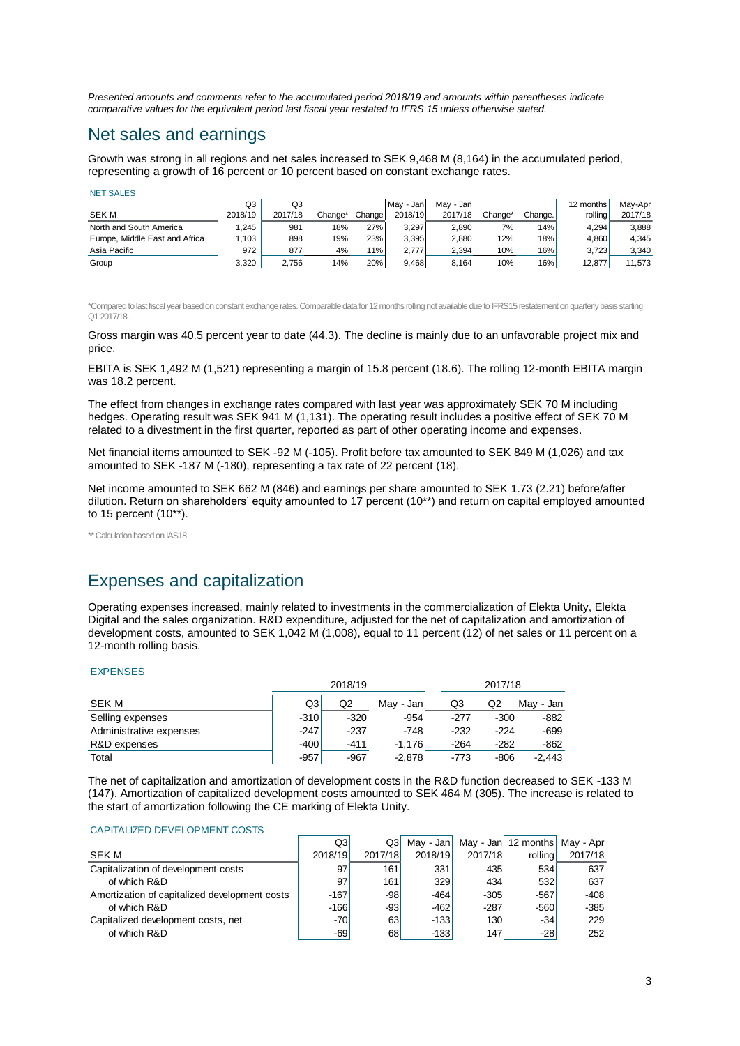*Presented amounts and comments refer to the accumulated period 2018/19 and amounts within parentheses indicate comparative values for the equivalent period last fiscal year restated to IFRS 15 unless otherwise stated.*

# Net sales and earnings

Growth was strong in all regions and net sales increased to SEK 9,468 M (8,164) in the accumulated period, representing a growth of 16 percent or 10 percent based on constant exchange rates.

|                                | Q3      | Q3      |         |         | l Mav - Jan I | Mav - Jan |         |         | 12 months | Mav-Apr |
|--------------------------------|---------|---------|---------|---------|---------------|-----------|---------|---------|-----------|---------|
| <b>SEK M</b>                   | 2018/19 | 2017/18 | Change* | Changel | 2018/19       | 2017/18   | Chanɑe* | Change. | rollina   | 2017/18 |
| North and South America        | .245    | 981     | 18%     | 27%     | 3.297         | 2.890     | 7%      | 14%     | 4.294     | 3.888   |
| Europe, Middle East and Africa | 1.103   | 898     | 19%     | 23%     | 3.395         | 2.880     | 12%     | 18%     | 4.860     | 4.345   |
| Asia Pacific                   | 972     | 877     | 4%      | 11%     | 2.777         | 2.394     | 10%     | 16%     | 3.723     | 3,340   |
| Group                          | 3.320   | 2,756   | 14%     | 20%     | 9,468         | 8.164     | 10%     | 16%     | 12.877    | 11,573  |

\*Compared to last fiscal year based on constant exchange rates. Comparable data for 12 months rolling not available due to IFRS15 restatement on quarterly basis starting Q1 2017/18.

Gross margin was 40.5 percent year to date (44.3). The decline is mainly due to an unfavorable project mix and price.

EBITA is SEK 1,492 M (1,521) representing a margin of 15.8 percent (18.6). The rolling 12-month EBITA margin was 18.2 percent.

The effect from changes in exchange rates compared with last year was approximately SEK 70 M including hedges. Operating result was SEK 941 M (1,131). The operating result includes a positive effect of SEK 70 M related to a divestment in the first quarter, reported as part of other operating income and expenses.

Net financial items amounted to SEK -92 M (-105). Profit before tax amounted to SEK 849 M (1,026) and tax amounted to SEK -187 M (-180), representing a tax rate of 22 percent (18).

Net income amounted to SEK 662 M (846) and earnings per share amounted to SEK 1.73 (2.21) before/after dilution. Return on shareholders' equity amounted to 17 percent (10\*\*) and return on capital employed amounted to 15 percent (10\*\*).

\*\* Calculation based on IAS18

# Expenses and capitalization

Operating expenses increased, mainly related to investments in the commercialization of Elekta Unity, Elekta Digital and the sales organization. R&D expenditure, adjusted for the net of capitalization and amortization of development costs, amounted to SEK 1,042 M (1,008), equal to 11 percent (12) of net sales or 11 percent on a 12-month rolling basis.

#### EXPENSES

|                         |        | 2018/19 |            |        | 2017/18 |           |  |  |
|-------------------------|--------|---------|------------|--------|---------|-----------|--|--|
| SEK M                   | Q3     | Q2      | Mav - Janl | Q3     | Q2      | May - Jan |  |  |
| Selling expenses        | $-310$ | $-320$  | $-954$     | -277   | $-300$  | $-882$    |  |  |
| Administrative expenses | $-247$ | $-237$  | $-748$     | $-232$ | $-224$  | $-699$    |  |  |
| R&D expenses            | $-400$ | $-411$  | $-1.176$   | $-264$ | $-282$  | $-862$    |  |  |
| Total                   | $-957$ | $-967$  | $-2,878$   | $-773$ | $-806$  | $-2.443$  |  |  |

The net of capitalization and amortization of development costs in the R&D function decreased to SEK -133 M (147). Amortization of capitalized development costs amounted to SEK 464 M (305). The increase is related to the start of amortization following the CE marking of Elekta Unity.

#### CAPITALIZED DEVELOPMENT COSTS

|                                               | Q3      | Q3l     | May - Jan |         | May - Jan 12 months May - Apr |         |
|-----------------------------------------------|---------|---------|-----------|---------|-------------------------------|---------|
| <b>SEK M</b>                                  | 2018/19 | 2017/18 | 2018/19   | 2017/18 | rollinal                      | 2017/18 |
| Capitalization of development costs           | 97      | 161     | 331       | 435     | 534                           | 637     |
| of which R&D                                  | 97      | 161     | 329       | 434     | 532                           | 637     |
| Amortization of capitalized development costs | $-167$  | -981    | $-464$    | $-305$  | $-567$                        | $-408$  |
| of which R&D                                  | $-166$  | -93     | $-462$    | $-287$  | $-560$                        | $-385$  |
| Capitalized development costs, net            | -701    | 63      | $-133$    | 130     | $-34$                         | 229     |
| of which R&D                                  | $-69$   | 68      | $-133$    | 147     | $-28$                         | 252     |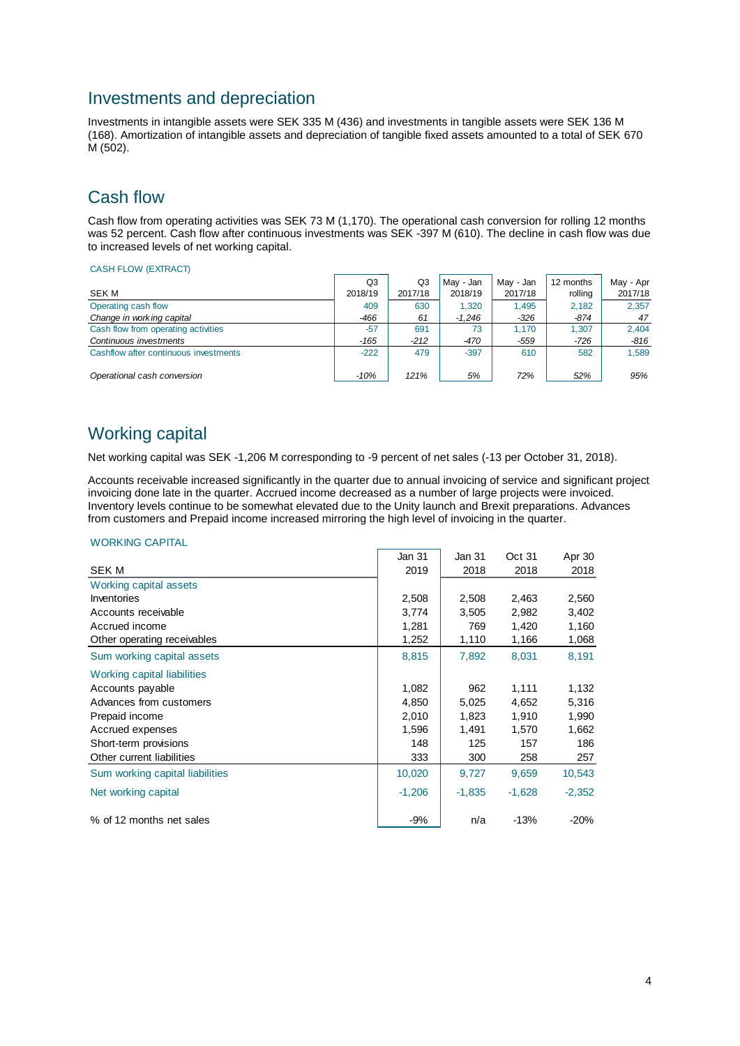# Investments and depreciation

Investments in intangible assets were SEK 335 M (436) and investments in tangible assets were SEK 136 M (168). Amortization of intangible assets and depreciation of tangible fixed assets amounted to a total of SEK 670 M (502).

# Cash flow

Cash flow from operating activities was SEK 73 M (1,170). The operational cash conversion for rolling 12 months was 52 percent. Cash flow after continuous investments was SEK -397 M (610). The decline in cash flow was due to increased levels of net working capital.

#### CASH FLOW (EXTRACT)

|                                       | Q3      | Q3      | May - Jan | May - Jan | 12 months | May - Apr |
|---------------------------------------|---------|---------|-----------|-----------|-----------|-----------|
| SEK M                                 | 2018/19 | 2017/18 | 2018/19   | 2017/18   | rolling   | 2017/18   |
| Operating cash flow                   | 409     | 630     | 1.320     | 1.495     | 2.182     | 2.357     |
| Change in working capital             | -466    | 61      | $-1.246$  | $-326$    | $-874$    | 47        |
| Cash flow from operating activities   | $-57$   | 691     | 73        | 1.170     | 1.307     | 2.404     |
| Continuous investments                | -165    | $-212$  | -470      | $-559$    | $-726$    | $-816$    |
| Cashflow after continuous investments | $-222$  | 479     | $-397$    | 610       | 582       | 1.589     |
| Operational cash conversion           | $-10%$  | 121%    | 5%        | 72%       | 52%       | 95%       |

# Working capital

Net working capital was SEK -1,206 M corresponding to -9 percent of net sales (-13 per October 31, 2018).

Accounts receivable increased significantly in the quarter due to annual invoicing of service and significant project invoicing done late in the quarter. Accrued income decreased as a number of large projects were invoiced. Inventory levels continue to be somewhat elevated due to the Unity launch and Brexit preparations. Advances from customers and Prepaid income increased mirroring the high level of invoicing in the quarter.

#### WORKING CAPITAL

|                                 | Jan 31   | Jan 31   | Oct 31   | Apr 30   |
|---------------------------------|----------|----------|----------|----------|
| SEK M                           | 2019     | 2018     | 2018     | 2018     |
| Working capital assets          |          |          |          |          |
| Inventories                     | 2,508    | 2,508    | 2,463    | 2,560    |
| Accounts receivable             | 3,774    | 3,505    | 2,982    | 3,402    |
| Accrued income                  | 1,281    | 769      | 1,420    | 1,160    |
| Other operating receivables     | 1,252    | 1,110    | 1,166    | 1,068    |
| Sum working capital assets      | 8,815    | 7,892    | 8,031    | 8,191    |
| Working capital liabilities     |          |          |          |          |
| Accounts payable                | 1,082    | 962      | 1,111    | 1,132    |
| Advances from customers         | 4,850    | 5,025    | 4,652    | 5,316    |
| Prepaid income                  | 2,010    | 1,823    | 1,910    | 1,990    |
| Accrued expenses                | 1,596    | 1,491    | 1,570    | 1,662    |
| Short-term provisions           | 148      | 125      | 157      | 186      |
| Other current liabilities       | 333      | 300      | 258      | 257      |
| Sum working capital liabilities | 10,020   | 9,727    | 9,659    | 10,543   |
| Net working capital             | $-1,206$ | $-1,835$ | $-1,628$ | $-2,352$ |
| % of 12 months net sales        | $-9%$    | n/a      | $-13%$   | $-20%$   |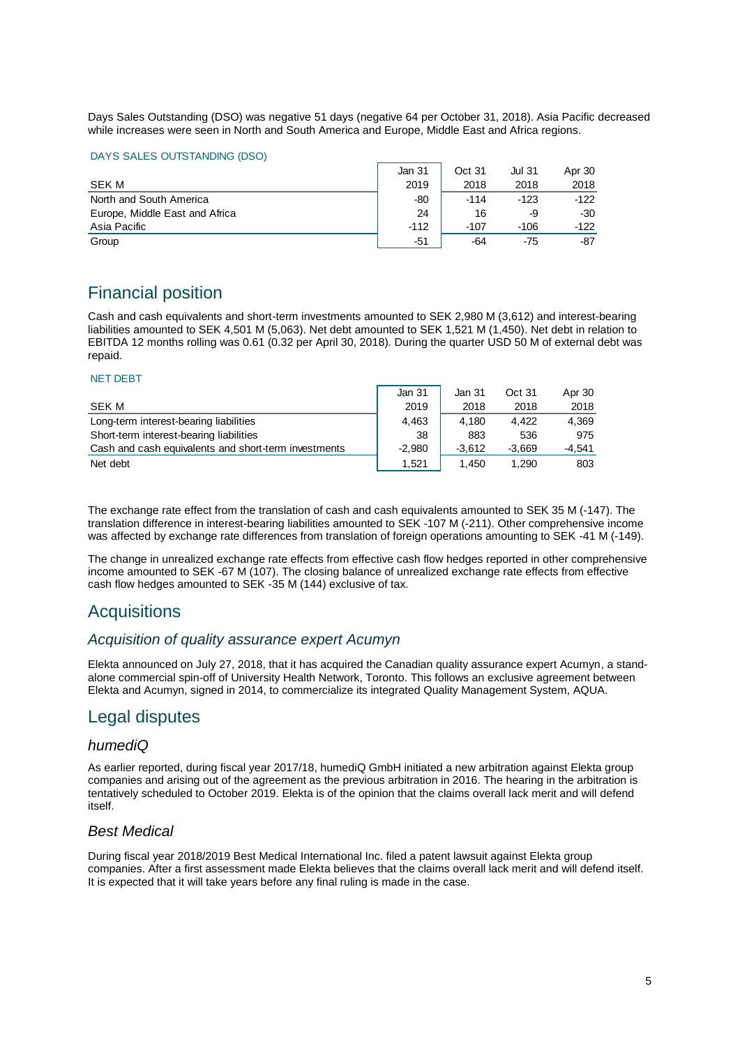Days Sales Outstanding (DSO) was negative 51 days (negative 64 per October 31, 2018). Asia Pacific decreased while increases were seen in North and South America and Europe, Middle East and Africa regions.

#### DAYS SALES OUTSTANDING (DSO)

|                                | Jan 31 | Oct 31 | Jul 31 | Apr 30 |
|--------------------------------|--------|--------|--------|--------|
| SEK M                          | 2019   | 2018   | 2018   | 2018   |
| North and South America        | -80    | $-114$ | $-123$ | $-122$ |
| Europe, Middle East and Africa | 24     | 16     | -9     | -30    |
| Asia Pacific                   | $-112$ | -107   | $-106$ | $-122$ |
| Group                          | -51    | -64    | -75    | -87    |

# Financial position

Cash and cash equivalents and short-term investments amounted to SEK 2,980 M (3,612) and interest-bearing liabilities amounted to SEK 4,501 M (5,063). Net debt amounted to SEK 1,521 M (1,450). Net debt in relation to EBITDA 12 months rolling was 0.61 (0.32 per April 30, 2018). During the quarter USD 50 M of external debt was repaid.

#### NET DEBT

|                                                      | Jan 31   | Jan 31   | Oct 31   | Apr 30   |
|------------------------------------------------------|----------|----------|----------|----------|
| SEK M                                                | 2019     | 2018     | 2018     | 2018     |
| Long-term interest-bearing liabilities               | 4.463    | 4.180    | 4.422    | 4,369    |
| Short-term interest-bearing liabilities              | 38       | 883      | 536      | 975      |
| Cash and cash equivalents and short-term investments | $-2.980$ | $-3.612$ | $-3.669$ | $-4.541$ |
| Net debt                                             | 1.521    | 1.450    | 1.290    | 803      |

The exchange rate effect from the translation of cash and cash equivalents amounted to SEK 35 M (-147). The translation difference in interest-bearing liabilities amounted to SEK -107 M (-211). Other comprehensive income was affected by exchange rate differences from translation of foreign operations amounting to SEK -41 M (-149).

The change in unrealized exchange rate effects from effective cash flow hedges reported in other comprehensive income amounted to SEK -67 M (107). The closing balance of unrealized exchange rate effects from effective cash flow hedges amounted to SEK -35 M (144) exclusive of tax.

# Acquisitions

#### *Acquisition of quality assurance expert Acumyn*

Elekta announced on July 27, 2018, that it has acquired the Canadian quality assurance expert Acumyn, a standalone commercial spin-off of University Health Network, Toronto. This follows an exclusive agreement between Elekta and Acumyn, signed in 2014, to commercialize its integrated Quality Management System, AQUA.

# Legal disputes

#### *humediQ*

As earlier reported, during fiscal year 2017/18, humediQ GmbH initiated a new arbitration against Elekta group companies and arising out of the agreement as the previous arbitration in 2016. The hearing in the arbitration is tentatively scheduled to October 2019. Elekta is of the opinion that the claims overall lack merit and will defend itself.

#### *Best Medical*

During fiscal year 2018/2019 Best Medical International Inc. filed a patent lawsuit against Elekta group companies. After a first assessment made Elekta believes that the claims overall lack merit and will defend itself. It is expected that it will take years before any final ruling is made in the case.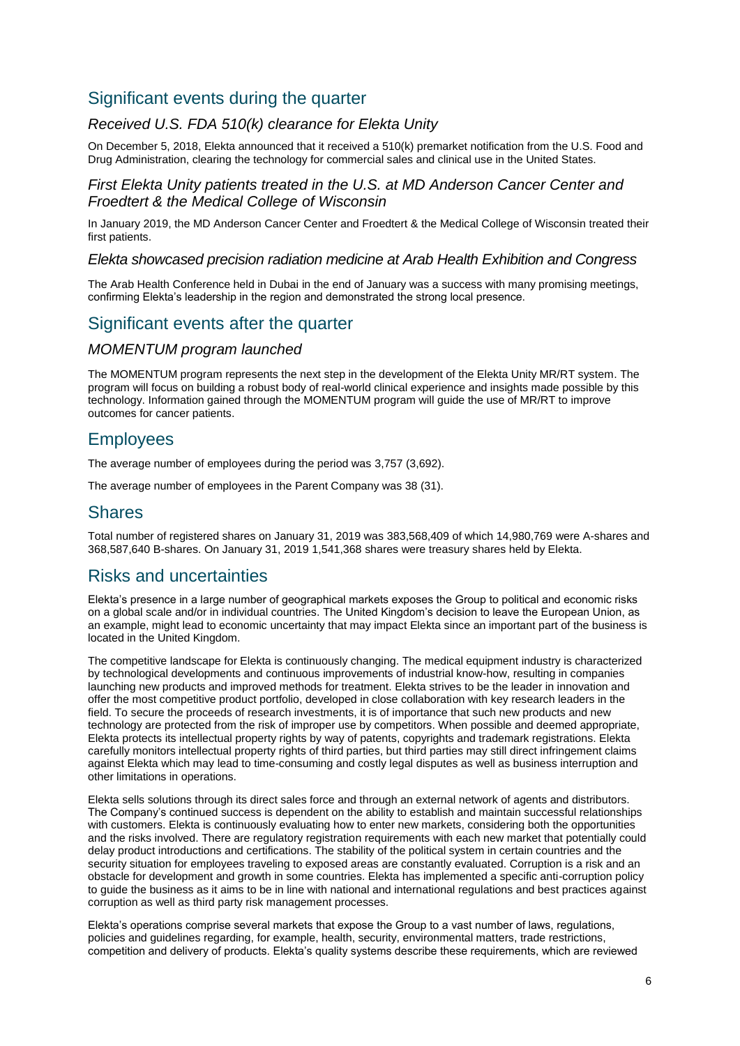# Significant events during the quarter

## *Received U.S. FDA 510(k) clearance for Elekta Unity*

On December 5, 2018, Elekta announced that it received a 510(k) premarket notification from the U.S. Food and Drug Administration, clearing the technology for commercial sales and clinical use in the United States.

#### *First Elekta Unity patients treated in the U.S. at MD Anderson Cancer Center and Froedtert & the Medical College of Wisconsin*

In January 2019, the MD Anderson Cancer Center and Froedtert & the Medical College of Wisconsin treated their first patients.

#### *Elekta showcased precision radiation medicine at Arab Health Exhibition and Congress*

The Arab Health Conference held in Dubai in the end of January was a success with many promising meetings, confirming Elekta's leadership in the region and demonstrated the strong local presence.

# Significant events after the quarter

## *MOMENTUM program launched*

The MOMENTUM program represents the next step in the development of the Elekta Unity MR/RT system. The program will focus on building a robust body of real-world clinical experience and insights made possible by this technology. Information gained through the MOMENTUM program will guide the use of MR/RT to improve outcomes for cancer patients.

# **Employees**

The average number of employees during the period was 3,757 (3,692).

The average number of employees in the Parent Company was 38 (31).

# Shares

Total number of registered shares on January 31, 2019 was 383,568,409 of which 14,980,769 were A-shares and 368,587,640 B-shares. On January 31, 2019 1,541,368 shares were treasury shares held by Elekta.

# Risks and uncertainties

Elekta's presence in a large number of geographical markets exposes the Group to political and economic risks on a global scale and/or in individual countries. The United Kingdom's decision to leave the European Union, as an example, might lead to economic uncertainty that may impact Elekta since an important part of the business is located in the United Kingdom.

The competitive landscape for Elekta is continuously changing. The medical equipment industry is characterized by technological developments and continuous improvements of industrial know-how, resulting in companies launching new products and improved methods for treatment. Elekta strives to be the leader in innovation and offer the most competitive product portfolio, developed in close collaboration with key research leaders in the field. To secure the proceeds of research investments, it is of importance that such new products and new technology are protected from the risk of improper use by competitors. When possible and deemed appropriate, Elekta protects its intellectual property rights by way of patents, copyrights and trademark registrations. Elekta carefully monitors intellectual property rights of third parties, but third parties may still direct infringement claims against Elekta which may lead to time-consuming and costly legal disputes as well as business interruption and other limitations in operations.

Elekta sells solutions through its direct sales force and through an external network of agents and distributors. The Company's continued success is dependent on the ability to establish and maintain successful relationships with customers. Elekta is continuously evaluating how to enter new markets, considering both the opportunities and the risks involved. There are regulatory registration requirements with each new market that potentially could delay product introductions and certifications. The stability of the political system in certain countries and the security situation for employees traveling to exposed areas are constantly evaluated. Corruption is a risk and an obstacle for development and growth in some countries. Elekta has implemented a specific anti-corruption policy to guide the business as it aims to be in line with national and international regulations and best practices against corruption as well as third party risk management processes.

Elekta's operations comprise several markets that expose the Group to a vast number of laws, regulations, policies and guidelines regarding, for example, health, security, environmental matters, trade restrictions, competition and delivery of products. Elekta's quality systems describe these requirements, which are reviewed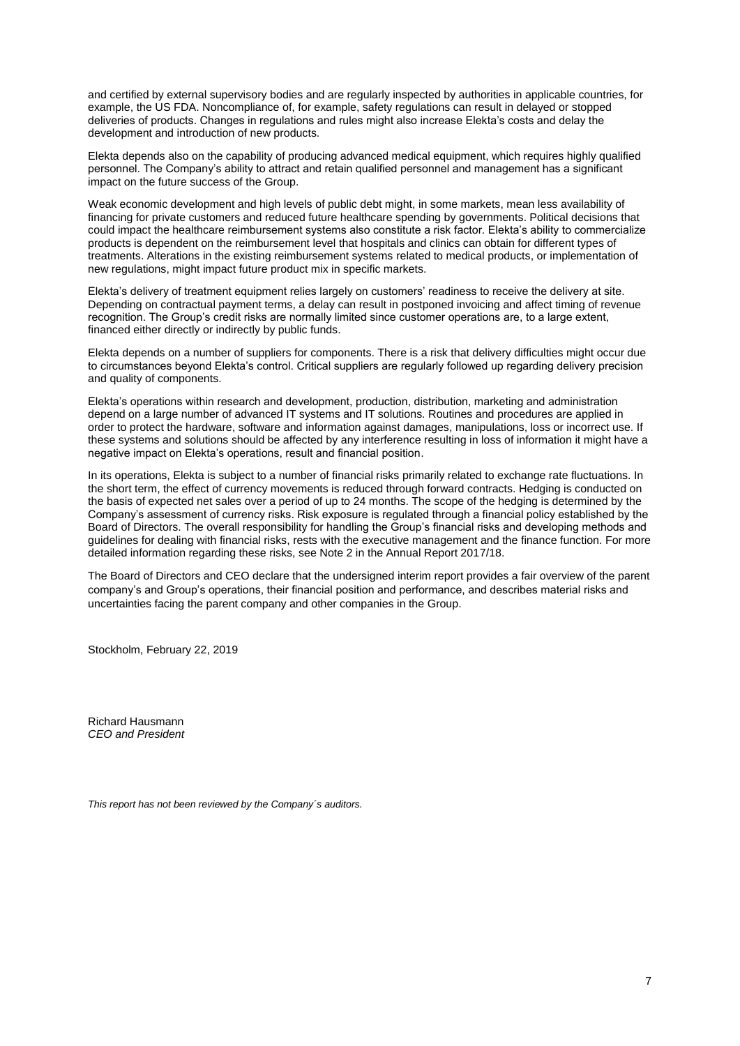and certified by external supervisory bodies and are regularly inspected by authorities in applicable countries, for example, the US FDA. Noncompliance of, for example, safety regulations can result in delayed or stopped deliveries of products. Changes in regulations and rules might also increase Elekta's costs and delay the development and introduction of new products.

Elekta depends also on the capability of producing advanced medical equipment, which requires highly qualified personnel. The Company's ability to attract and retain qualified personnel and management has a significant impact on the future success of the Group.

Weak economic development and high levels of public debt might, in some markets, mean less availability of financing for private customers and reduced future healthcare spending by governments. Political decisions that could impact the healthcare reimbursement systems also constitute a risk factor. Elekta's ability to commercialize products is dependent on the reimbursement level that hospitals and clinics can obtain for different types of treatments. Alterations in the existing reimbursement systems related to medical products, or implementation of new regulations, might impact future product mix in specific markets.

Elekta's delivery of treatment equipment relies largely on customers' readiness to receive the delivery at site. Depending on contractual payment terms, a delay can result in postponed invoicing and affect timing of revenue recognition. The Group's credit risks are normally limited since customer operations are, to a large extent, financed either directly or indirectly by public funds.

Elekta depends on a number of suppliers for components. There is a risk that delivery difficulties might occur due to circumstances beyond Elekta's control. Critical suppliers are regularly followed up regarding delivery precision and quality of components.

Elekta's operations within research and development, production, distribution, marketing and administration depend on a large number of advanced IT systems and IT solutions. Routines and procedures are applied in order to protect the hardware, software and information against damages, manipulations, loss or incorrect use. If these systems and solutions should be affected by any interference resulting in loss of information it might have a negative impact on Elekta's operations, result and financial position.

In its operations, Elekta is subject to a number of financial risks primarily related to exchange rate fluctuations. In the short term, the effect of currency movements is reduced through forward contracts. Hedging is conducted on the basis of expected net sales over a period of up to 24 months. The scope of the hedging is determined by the Company's assessment of currency risks. Risk exposure is regulated through a financial policy established by the Board of Directors. The overall responsibility for handling the Group's financial risks and developing methods and guidelines for dealing with financial risks, rests with the executive management and the finance function. For more detailed information regarding these risks, see Note 2 in the Annual Report 2017/18.

The Board of Directors and CEO declare that the undersigned interim report provides a fair overview of the parent company's and Group's operations, their financial position and performance, and describes material risks and uncertainties facing the parent company and other companies in the Group.

Stockholm, February 22, 2019

Richard Hausmann *CEO and President*

*This report has not been reviewed by the Company´s auditors.*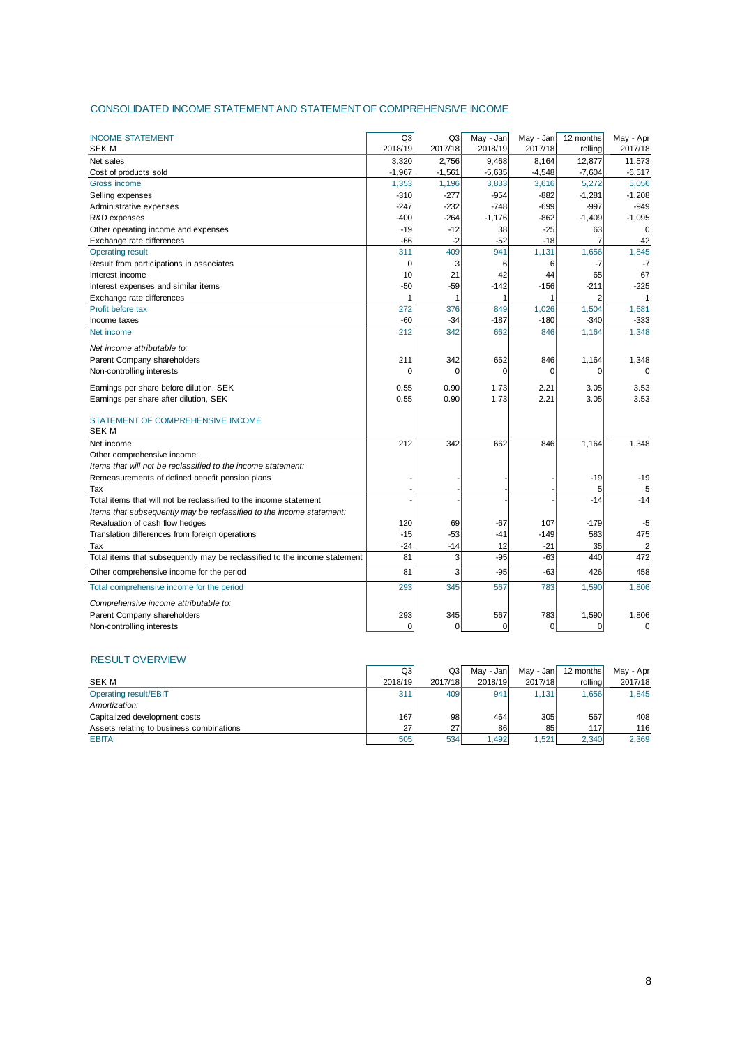#### CONSOLIDATED INCOME STATEMENT AND STATEMENT OF COMPREHENSIVE INCOME

| <b>INCOME STATEMENT</b>                                                   | Q <sub>3</sub> | Q3       | May - Jan   | May - Jan | 12 months      | May - Apr      |
|---------------------------------------------------------------------------|----------------|----------|-------------|-----------|----------------|----------------|
| SEK M                                                                     | 2018/19        | 2017/18  | 2018/19     | 2017/18   | rolling        | 2017/18        |
| Net sales                                                                 | 3,320          | 2,756    | 9,468       | 8,164     | 12,877         | 11,573         |
| Cost of products sold                                                     | $-1,967$       | $-1,561$ | $-5,635$    | $-4,548$  | $-7,604$       | $-6,517$       |
| Gross income                                                              | 1,353          | 1,196    | 3,833       | 3,616     | 5,272          | 5,056          |
| Selling expenses                                                          | $-310$         | $-277$   | $-954$      | $-882$    | $-1,281$       | $-1,208$       |
| Administrative expenses                                                   | $-247$         | $-232$   | $-748$      | $-699$    | $-997$         | $-949$         |
| R&D expenses                                                              | $-400$         | $-264$   | $-1,176$    | $-862$    | $-1,409$       | $-1,095$       |
| Other operating income and expenses                                       | $-19$          | $-12$    | 38          | $-25$     | 63             | $\mathbf 0$    |
| Exchange rate differences                                                 | $-66$          | $-2$     | $-52$       | $-18$     | 7              | 42             |
| <b>Operating result</b>                                                   | 311            | 409      | 941         | 1,131     | 1,656          | 1,845          |
| Result from participations in associates                                  | 0              | 3        | 6           | 6         | -7             | $-7$           |
| Interest income                                                           | 10             | 21       | 42          | 44        | 65             | 67             |
| Interest expenses and similar items                                       | $-50$          | -59      | $-142$      | $-156$    | -211           | $-225$         |
| Exchange rate differences                                                 | 1              | 1        | 1           | 1         | $\overline{2}$ | $\mathbf{1}$   |
| Profit before tax                                                         | 272            | 376      | 849         | 1,026     | 1,504          | 1,681          |
| Income taxes                                                              | $-60$          | $-34$    | $-187$      | $-180$    | $-340$         | $-333$         |
| Net income                                                                | 212            | 342      | 662         | 846       | 1,164          | 1,348          |
| Net income attributable to:                                               |                |          |             |           |                |                |
| Parent Company shareholders                                               | 211            | 342      | 662         | 846       | 1,164          | 1,348          |
| Non-controlling interests                                                 | 0              | 0        | $\mathbf 0$ | 0         | $\Omega$       | $\mathbf 0$    |
| Earnings per share before dilution, SEK                                   | 0.55           | 0.90     | 1.73        | 2.21      | 3.05           | 3.53           |
| Earnings per share after dilution, SEK                                    | 0.55           | 0.90     | 1.73        | 2.21      | 3.05           | 3.53           |
|                                                                           |                |          |             |           |                |                |
| STATEMENT OF COMPREHENSIVE INCOME                                         |                |          |             |           |                |                |
| <b>SEK M</b>                                                              |                |          |             |           |                |                |
| Net income                                                                | 212            | 342      | 662         | 846       | 1,164          | 1,348          |
| Other comprehensive income:                                               |                |          |             |           |                |                |
| Items that will not be reclassified to the income statement:              |                |          |             |           |                |                |
| Remeasurements of defined benefit pension plans                           |                |          |             |           | -19            | $-19$          |
| Tax                                                                       |                |          |             |           | 5              | 5              |
| Total items that will not be reclassified to the income statement         |                |          |             |           | $-14$          | $-14$          |
| Items that subsequently may be reclassified to the income statement:      |                |          |             |           |                |                |
| Revaluation of cash flow hedges                                           | 120            | 69       | $-67$       | 107       | $-179$         | -5             |
| Translation differences from foreign operations                           | $-15$          | -53      | -41         | $-149$    | 583            | 475            |
| Tax                                                                       | $-24$          | -14      | 12          | $-21$     | 35             | $\overline{2}$ |
| Total items that subsequently may be reclassified to the income statement | 81             | 3        | $-95$       | $-63$     | 440            | 472            |
| Other comprehensive income for the period                                 | 81             | 3        | $-95$       | $-63$     | 426            | 458            |
| Total comprehensive income for the period                                 | 293            | 345      | 567         | 783       | 1,590          | 1,806          |
| Comprehensive income attributable to:                                     |                |          |             |           |                |                |
| Parent Company shareholders                                               | 293            | 345      | 567         | 783       | 1,590          | 1,806          |
| Non-controlling interests                                                 | 0              | 0        | 0           | 0         | $\mathbf 0$    | $\mathbf 0$    |

#### RESULT OVERVIEW

|                                          | Q3      | Q <sub>3</sub> | Mav - Jan | May - Jan | 12 months | May - Apr |
|------------------------------------------|---------|----------------|-----------|-----------|-----------|-----------|
| <b>SEK M</b>                             | 2018/19 | 2017/18        | 2018/19   | 2017/18   | rollinal  | 2017/18   |
| Operating result/EBIT                    | 311     | 409            | 941       | 1.131     | 1.656     | 1.845     |
| Amortization:                            |         |                |           |           |           |           |
| Capitalized development costs            | 167     | 98             | 464       | 305       | 567       | 408       |
| Assets relating to business combinations | 27      | 27             | 86        | 85        | 117       | 116       |
| <b>EBITA</b>                             | 505     | 534            | 1.492     | .521      | 2.340     | 2.369     |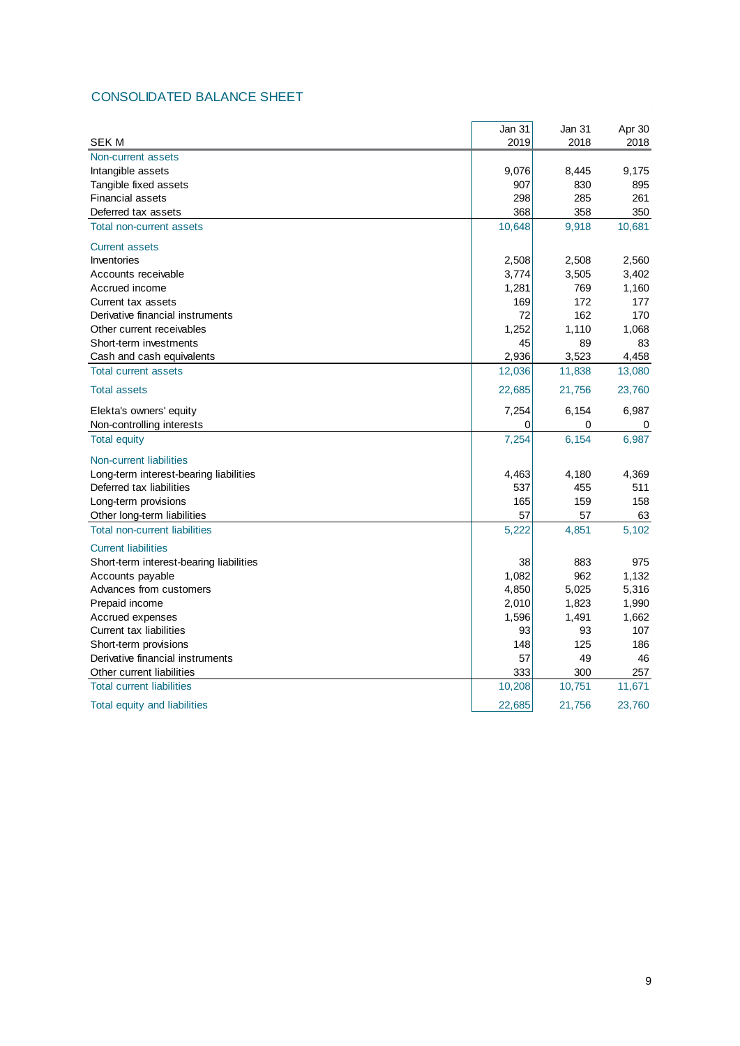# CONSOLIDATED BALANCE SHEET

|                                         | Jan 31 | Jan 31 | Apr 30 |
|-----------------------------------------|--------|--------|--------|
| <b>SEK M</b>                            | 2019   | 2018   | 2018   |
| Non-current assets                      |        |        |        |
| Intangible assets                       | 9,076  | 8,445  | 9,175  |
| Tangible fixed assets                   | 907    | 830    | 895    |
| <b>Financial assets</b>                 | 298    | 285    | 261    |
| Deferred tax assets                     | 368    | 358    | 350    |
| Total non-current assets                | 10,648 | 9,918  | 10,681 |
| <b>Current assets</b>                   |        |        |        |
| Inventories                             | 2,508  | 2,508  | 2,560  |
| Accounts receivable                     | 3,774  | 3,505  | 3,402  |
| Accrued income                          | 1,281  | 769    | 1,160  |
| Current tax assets                      | 169    | 172    | 177    |
| Derivative financial instruments        | 72     | 162    | 170    |
| Other current receivables               | 1,252  | 1,110  | 1,068  |
| Short-term investments                  | 45     | 89     | 83     |
| Cash and cash equivalents               | 2,936  | 3,523  | 4,458  |
| <b>Total current assets</b>             | 12,036 | 11,838 | 13,080 |
| <b>Total assets</b>                     | 22,685 | 21,756 | 23,760 |
| Elekta's owners' equity                 | 7,254  | 6,154  | 6,987  |
| Non-controlling interests               | 0      | 0      | 0      |
| <b>Total equity</b>                     | 7,254  | 6,154  | 6,987  |
| Non-current liabilities                 |        |        |        |
| Long-term interest-bearing liabilities  | 4,463  | 4,180  | 4,369  |
| Deferred tax liabilities                | 537    | 455    | 511    |
| Long-term provisions                    | 165    | 159    | 158    |
| Other long-term liabilities             | 57     | 57     | 63     |
| <b>Total non-current liabilities</b>    | 5,222  | 4,851  | 5,102  |
| <b>Current liabilities</b>              |        |        |        |
| Short-term interest-bearing liabilities | 38     | 883    | 975    |
| Accounts payable                        | 1,082  | 962    | 1,132  |
| Advances from customers                 | 4,850  | 5,025  | 5,316  |
| Prepaid income                          | 2,010  | 1,823  | 1,990  |
| Accrued expenses                        | 1,596  | 1,491  | 1,662  |
| <b>Current tax liabilities</b>          | 93     | 93     | 107    |
| Short-term provisions                   | 148    | 125    | 186    |
| Derivative financial instruments        | 57     | 49     | 46     |
| Other current liabilities               | 333    | 300    | 257    |
| <b>Total current liabilities</b>        | 10,208 | 10,751 | 11,671 |
| Total equity and liabilities            | 22,685 | 21,756 | 23,760 |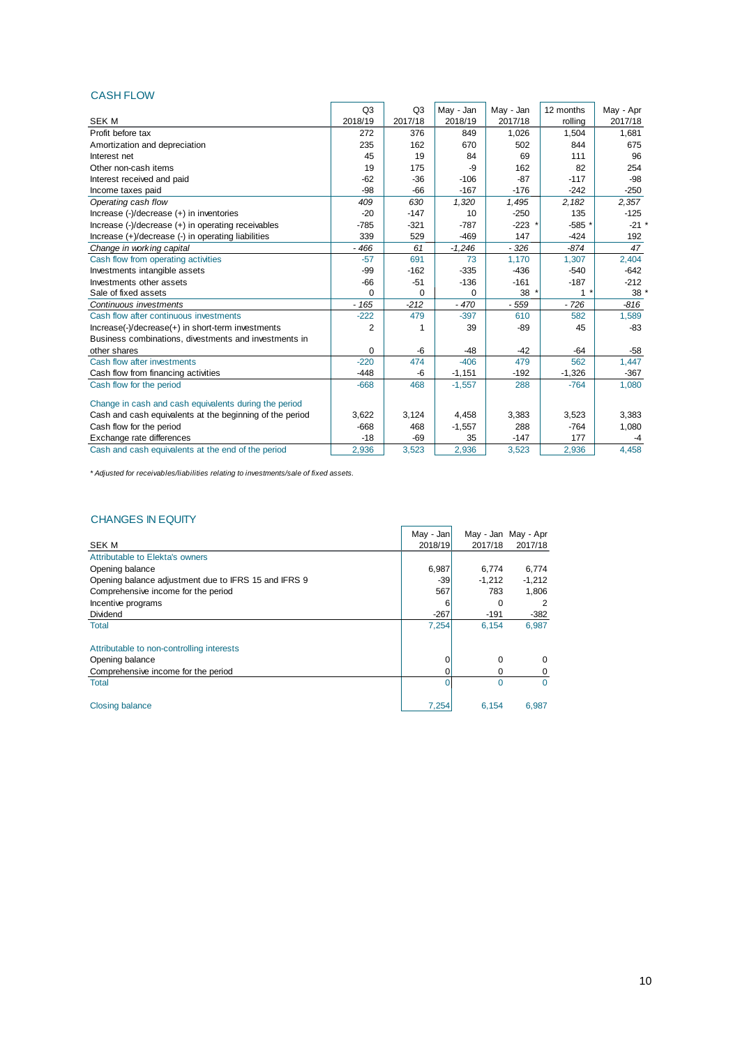#### CASH FLOW

|                                                          | Q <sub>3</sub> | Q <sub>3</sub> | May - Jan | May - Jan | 12 months | May - Apr |
|----------------------------------------------------------|----------------|----------------|-----------|-----------|-----------|-----------|
| <b>SEK M</b>                                             | 2018/19        | 2017/18        | 2018/19   | 2017/18   | rolling   | 2017/18   |
| Profit before tax                                        | 272            | 376            | 849       | 1,026     | 1,504     | 1,681     |
| Amortization and depreciation                            | 235            | 162            | 670       | 502       | 844       | 675       |
| Interest net                                             | 45             | 19             | 84        | 69        | 111       | 96        |
| Other non-cash items                                     | 19             | 175            | -9        | 162       | 82        | 254       |
| Interest received and paid                               | $-62$          | $-36$          | $-106$    | $-87$     | $-117$    | $-98$     |
| Income taxes paid                                        | $-98$          | $-66$          | $-167$    | $-176$    | $-242$    | $-250$    |
| Operating cash flow                                      | 409            | 630            | 1,320     | 1,495     | 2,182     | 2,357     |
| Increase (-)/decrease (+) in inventories                 | $-20$          | $-147$         | 10        | $-250$    | 135       | $-125$    |
| Increase (-)/decrease (+) in operating receivables       | $-785$         | $-321$         | $-787$    | $-223$    | $-585$ *  | $-21$ *   |
| Increase (+)/decrease (-) in operating liabilities       | 339            | 529            | $-469$    | 147       | $-424$    | 192       |
| Change in working capital                                | $-466$         | 61             | $-1,246$  | $-326$    | $-874$    | 47        |
| Cash flow from operating activities                      | $-57$          | 691            | 73        | 1,170     | 1,307     | 2,404     |
| Investments intangible assets                            | $-99$          | $-162$         | $-335$    | $-436$    | $-540$    | $-642$    |
| Investments other assets                                 | $-66$          | $-51$          | $-136$    | $-161$    | $-187$    | $-212$    |
| Sale of fixed assets                                     | $\Omega$       | $\mathbf 0$    | $\Omega$  | 38        | $1 *$     | 38        |
| Continuous investments                                   | $-165$         | $-212$         | $-470$    | $-559$    | $-726$    | $-816$    |
| Cash flow after continuous investments                   | $-222$         | 479            | $-397$    | 610       | 582       | 1,589     |
| Increase(-)/decrease(+) in short-term investments        | 2              | 1              | 39        | $-89$     | 45        | $-83$     |
| Business combinations, divestments and investments in    |                |                |           |           |           |           |
| other shares                                             | $\Omega$       | $-6$           | $-48$     | $-42$     | $-64$     | $-58$     |
| Cash flow after investments                              | $-220$         | 474            | $-406$    | 479       | 562       | 1,447     |
| Cash flow from financing activities                      | $-448$         | -6             | $-1,151$  | $-192$    | $-1,326$  | $-367$    |
| Cash flow for the period                                 | $-668$         | 468            | $-1,557$  | 288       | $-764$    | 1,080     |
| Change in cash and cash equivalents during the period    |                |                |           |           |           |           |
| Cash and cash equivalents at the beginning of the period | 3,622          | 3,124          | 4,458     | 3,383     | 3,523     | 3,383     |
| Cash flow for the period                                 | $-668$         | 468            | $-1,557$  | 288       | $-764$    | 1,080     |
| Exchange rate differences                                | $-18$          | $-69$          | 35        | $-147$    | 177       | -4        |
| Cash and cash equivalents at the end of the period       | 2.936          | 3.523          | 2.936     | 3.523     | 2.936     | 4.458     |

*\* Adjusted for receivables/liabilities relating to investments/sale of fixed assets.*

#### CHANGES IN EQUITY

|                                                      | May - Jan |          | May - Jan May - Apr |
|------------------------------------------------------|-----------|----------|---------------------|
| <b>SEKM</b>                                          | 2018/19   | 2017/18  | 2017/18             |
| Attributable to Elekta's owners                      |           |          |                     |
| Opening balance                                      | 6,987     | 6,774    | 6,774               |
| Opening balance adjustment due to IFRS 15 and IFRS 9 | $-39$     | $-1,212$ | $-1,212$            |
| Comprehensive income for the period                  | 567       | 783      | 1,806               |
| Incentive programs                                   | 6         | 0        | 2                   |
| Dividend                                             | $-267$    | $-191$   | $-382$              |
| <b>Total</b>                                         | 7,254     | 6,154    | 6,987               |
| Attributable to non-controlling interests            |           |          |                     |
| Opening balance                                      | 0         | 0        | 0                   |
| Comprehensive income for the period                  | 0         | 0        | 0                   |
| <b>Total</b>                                         | 0         | 0        | 0                   |
| <b>Closing balance</b>                               | 7,254     | 6,154    | 6,987               |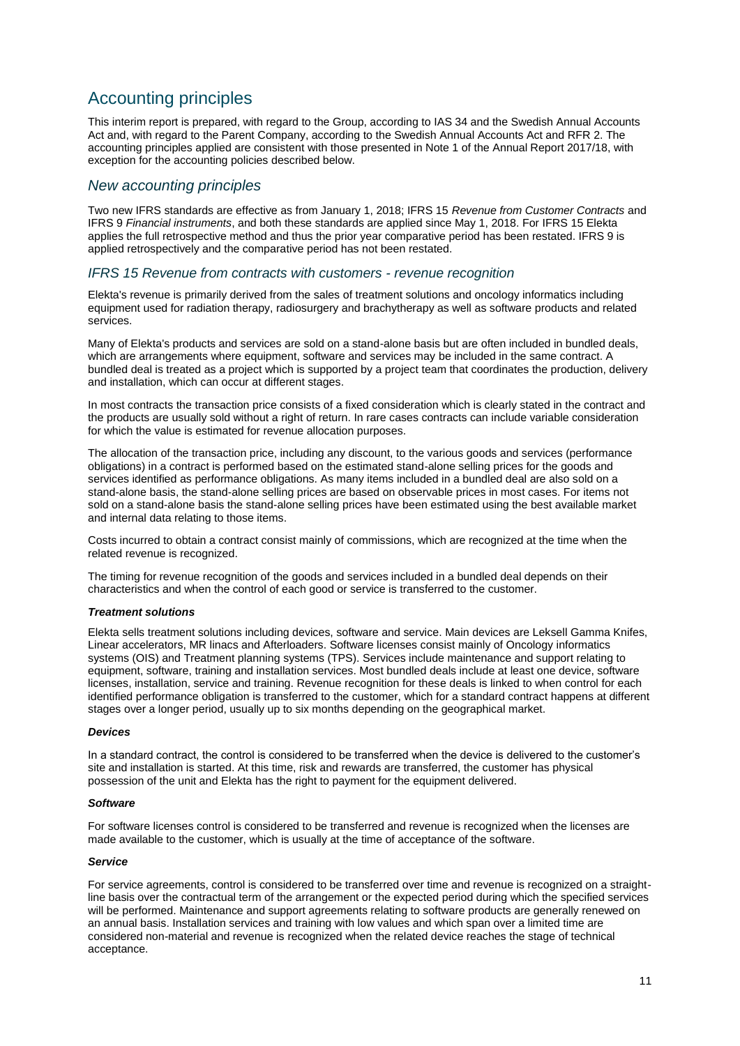# Accounting principles

This interim report is prepared, with regard to the Group, according to IAS 34 and the Swedish Annual Accounts Act and, with regard to the Parent Company, according to the Swedish Annual Accounts Act and RFR 2. The accounting principles applied are consistent with those presented in Note 1 of the Annual Report 2017/18, with exception for the accounting policies described below.

#### *New accounting principles*

Two new IFRS standards are effective as from January 1, 2018; IFRS 15 *Revenue from Customer Contracts* and IFRS 9 *Financial instruments*, and both these standards are applied since May 1, 2018. For IFRS 15 Elekta applies the full retrospective method and thus the prior year comparative period has been restated. IFRS 9 is applied retrospectively and the comparative period has not been restated.

#### *IFRS 15 Revenue from contracts with customers - revenue recognition*

Elekta's revenue is primarily derived from the sales of treatment solutions and oncology informatics including equipment used for radiation therapy, radiosurgery and brachytherapy as well as software products and related services.

Many of Elekta's products and services are sold on a stand-alone basis but are often included in bundled deals, which are arrangements where equipment, software and services may be included in the same contract. A bundled deal is treated as a project which is supported by a project team that coordinates the production, delivery and installation, which can occur at different stages.

In most contracts the transaction price consists of a fixed consideration which is clearly stated in the contract and the products are usually sold without a right of return. In rare cases contracts can include variable consideration for which the value is estimated for revenue allocation purposes.

The allocation of the transaction price, including any discount, to the various goods and services (performance obligations) in a contract is performed based on the estimated stand-alone selling prices for the goods and services identified as performance obligations. As many items included in a bundled deal are also sold on a stand-alone basis, the stand-alone selling prices are based on observable prices in most cases. For items not sold on a stand-alone basis the stand-alone selling prices have been estimated using the best available market and internal data relating to those items.

Costs incurred to obtain a contract consist mainly of commissions, which are recognized at the time when the related revenue is recognized.

The timing for revenue recognition of the goods and services included in a bundled deal depends on their characteristics and when the control of each good or service is transferred to the customer.

#### *Treatment solutions*

Elekta sells treatment solutions including devices, software and service. Main devices are Leksell Gamma Knifes, Linear accelerators, MR linacs and Afterloaders. Software licenses consist mainly of Oncology informatics systems (OIS) and Treatment planning systems (TPS). Services include maintenance and support relating to equipment, software, training and installation services. Most bundled deals include at least one device, software licenses, installation, service and training. Revenue recognition for these deals is linked to when control for each identified performance obligation is transferred to the customer, which for a standard contract happens at different stages over a longer period, usually up to six months depending on the geographical market.

#### *Devices*

In a standard contract, the control is considered to be transferred when the device is delivered to the customer's site and installation is started. At this time, risk and rewards are transferred, the customer has physical possession of the unit and Elekta has the right to payment for the equipment delivered.

#### *Software*

For software licenses control is considered to be transferred and revenue is recognized when the licenses are made available to the customer, which is usually at the time of acceptance of the software.

#### *Service*

For service agreements, control is considered to be transferred over time and revenue is recognized on a straightline basis over the contractual term of the arrangement or the expected period during which the specified services will be performed. Maintenance and support agreements relating to software products are generally renewed on an annual basis. Installation services and training with low values and which span over a limited time are considered non-material and revenue is recognized when the related device reaches the stage of technical acceptance.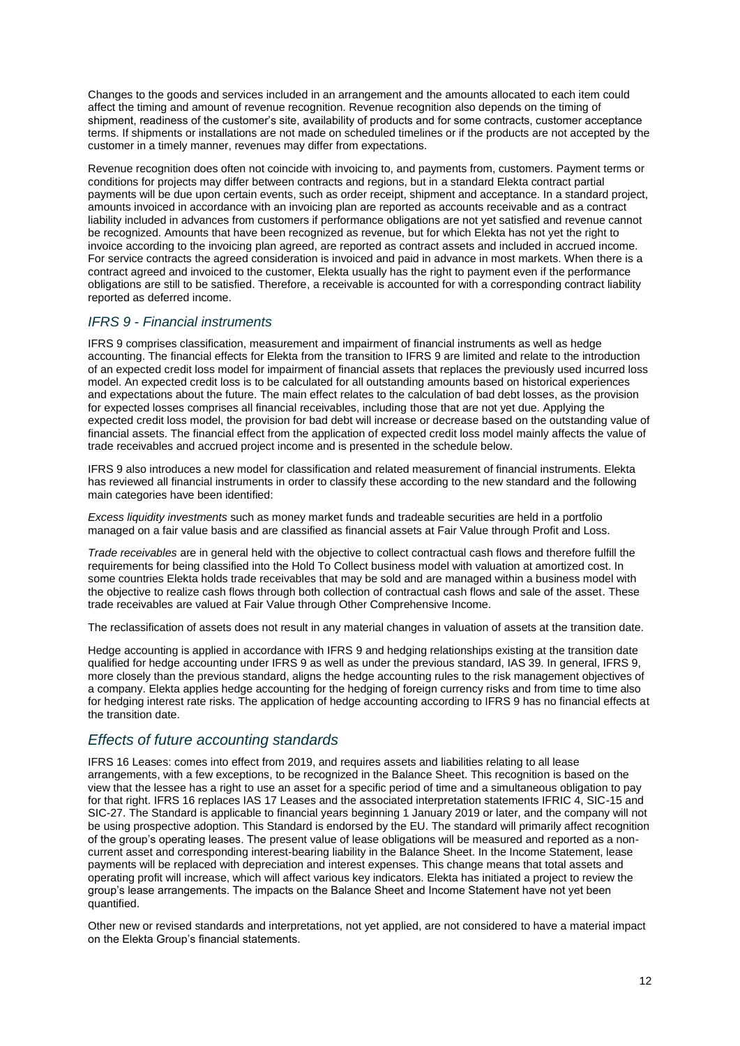Changes to the goods and services included in an arrangement and the amounts allocated to each item could affect the timing and amount of revenue recognition. Revenue recognition also depends on the timing of shipment, readiness of the customer's site, availability of products and for some contracts, customer acceptance terms. If shipments or installations are not made on scheduled timelines or if the products are not accepted by the customer in a timely manner, revenues may differ from expectations.

Revenue recognition does often not coincide with invoicing to, and payments from, customers. Payment terms or conditions for projects may differ between contracts and regions, but in a standard Elekta contract partial payments will be due upon certain events, such as order receipt, shipment and acceptance. In a standard project, amounts invoiced in accordance with an invoicing plan are reported as accounts receivable and as a contract liability included in advances from customers if performance obligations are not yet satisfied and revenue cannot be recognized. Amounts that have been recognized as revenue, but for which Elekta has not yet the right to invoice according to the invoicing plan agreed, are reported as contract assets and included in accrued income. For service contracts the agreed consideration is invoiced and paid in advance in most markets. When there is a contract agreed and invoiced to the customer, Elekta usually has the right to payment even if the performance obligations are still to be satisfied. Therefore, a receivable is accounted for with a corresponding contract liability reported as deferred income.

#### *IFRS 9 - Financial instruments*

IFRS 9 comprises classification, measurement and impairment of financial instruments as well as hedge accounting. The financial effects for Elekta from the transition to IFRS 9 are limited and relate to the introduction of an expected credit loss model for impairment of financial assets that replaces the previously used incurred loss model. An expected credit loss is to be calculated for all outstanding amounts based on historical experiences and expectations about the future. The main effect relates to the calculation of bad debt losses, as the provision for expected losses comprises all financial receivables, including those that are not yet due. Applying the expected credit loss model, the provision for bad debt will increase or decrease based on the outstanding value of financial assets. The financial effect from the application of expected credit loss model mainly affects the value of trade receivables and accrued project income and is presented in the schedule below.

IFRS 9 also introduces a new model for classification and related measurement of financial instruments. Elekta has reviewed all financial instruments in order to classify these according to the new standard and the following main categories have been identified:

*Excess liquidity investments* such as money market funds and tradeable securities are held in a portfolio managed on a fair value basis and are classified as financial assets at Fair Value through Profit and Loss.

*Trade receivables* are in general held with the objective to collect contractual cash flows and therefore fulfill the requirements for being classified into the Hold To Collect business model with valuation at amortized cost. In some countries Elekta holds trade receivables that may be sold and are managed within a business model with the objective to realize cash flows through both collection of contractual cash flows and sale of the asset. These trade receivables are valued at Fair Value through Other Comprehensive Income.

The reclassification of assets does not result in any material changes in valuation of assets at the transition date.

Hedge accounting is applied in accordance with IFRS 9 and hedging relationships existing at the transition date qualified for hedge accounting under IFRS 9 as well as under the previous standard, IAS 39. In general, IFRS 9, more closely than the previous standard, aligns the hedge accounting rules to the risk management objectives of a company. Elekta applies hedge accounting for the hedging of foreign currency risks and from time to time also for hedging interest rate risks. The application of hedge accounting according to IFRS 9 has no financial effects at the transition date.

## *Effects of future accounting standards*

IFRS 16 Leases: comes into effect from 2019, and requires assets and liabilities relating to all lease arrangements, with a few exceptions, to be recognized in the Balance Sheet. This recognition is based on the view that the lessee has a right to use an asset for a specific period of time and a simultaneous obligation to pay for that right. IFRS 16 replaces IAS 17 Leases and the associated interpretation statements IFRIC 4, SIC-15 and SIC-27. The Standard is applicable to financial years beginning 1 January 2019 or later, and the company will not be using prospective adoption. This Standard is endorsed by the EU. The standard will primarily affect recognition of the group's operating leases. The present value of lease obligations will be measured and reported as a noncurrent asset and corresponding interest-bearing liability in the Balance Sheet. In the Income Statement, lease payments will be replaced with depreciation and interest expenses. This change means that total assets and operating profit will increase, which will affect various key indicators. Elekta has initiated a project to review the group's lease arrangements. The impacts on the Balance Sheet and Income Statement have not yet been quantified.

Other new or revised standards and interpretations, not yet applied, are not considered to have a material impact on the Elekta Group's financial statements.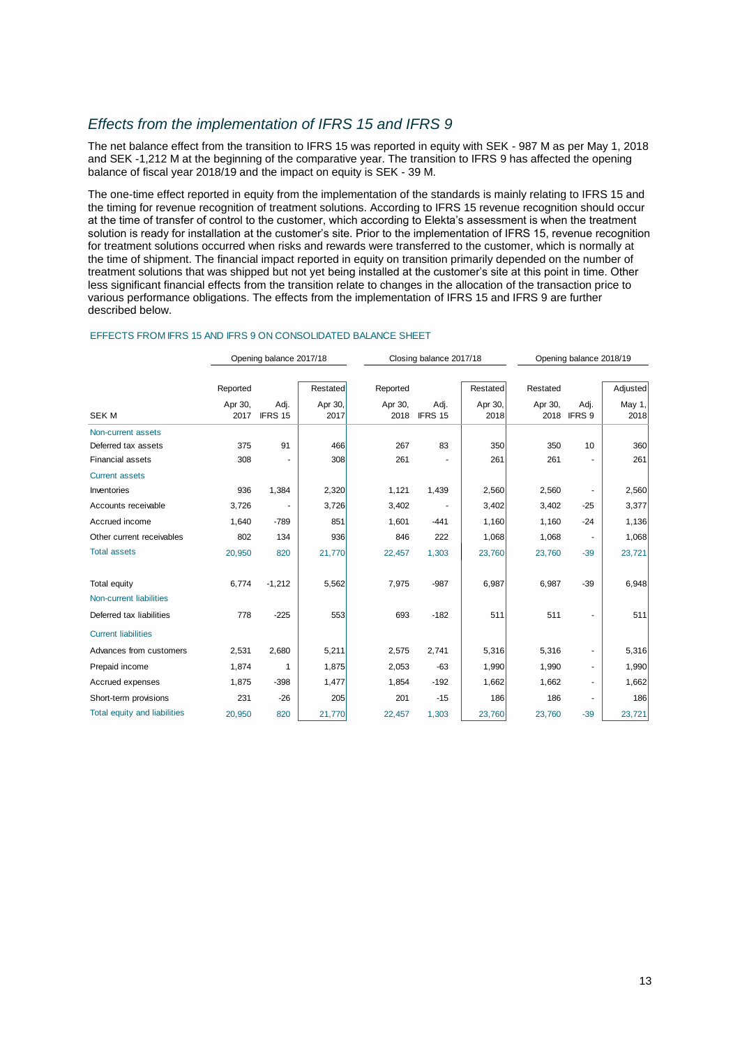## *Effects from the implementation of IFRS 15 and IFRS 9*

The net balance effect from the transition to IFRS 15 was reported in equity with SEK - 987 M as per May 1, 2018 and SEK -1,212 M at the beginning of the comparative year. The transition to IFRS 9 has affected the opening balance of fiscal year 2018/19 and the impact on equity is SEK - 39 M.

The one-time effect reported in equity from the implementation of the standards is mainly relating to IFRS 15 and the timing for revenue recognition of treatment solutions. According to IFRS 15 revenue recognition should occur at the time of transfer of control to the customer, which according to Elekta's assessment is when the treatment solution is ready for installation at the customer's site. Prior to the implementation of IFRS 15, revenue recognition for treatment solutions occurred when risks and rewards were transferred to the customer, which is normally at the time of shipment. The financial impact reported in equity on transition primarily depended on the number of treatment solutions that was shipped but not yet being installed at the customer's site at this point in time. Other less significant financial effects from the transition relate to changes in the allocation of the transaction price to various performance obligations. The effects from the implementation of IFRS 15 and IFRS 9 are further described below.

#### EFFECTS FROM IFRS 15 AND IFRS 9 ON CONSOLIDATED BALANCE SHEET

|                                     |          | Opening balance 2017/18 |          |          | Closing balance 2017/18 | Opening balance 2018/19 |          |                |          |
|-------------------------------------|----------|-------------------------|----------|----------|-------------------------|-------------------------|----------|----------------|----------|
|                                     |          |                         |          |          |                         |                         |          |                |          |
|                                     | Reported |                         | Restated | Reported |                         | Restated                | Restated |                | Adjusted |
|                                     | Apr 30,  | Adj.                    | Apr 30,  | Apr 30,  | Adj.                    | Apr 30,                 | Apr 30,  | Adj.           | May 1,   |
| <b>SEK M</b>                        | 2017     | IFRS 15                 | 2017     | 2018     | IFRS 15                 | 2018                    |          | 2018 IFRS 9    | 2018     |
| Non-current assets                  |          |                         |          |          |                         |                         |          |                |          |
| Deferred tax assets                 | 375      | 91                      | 466      | 267      | 83                      | 350                     | 350      | 10             | 360      |
| <b>Financial assets</b>             | 308      |                         | 308      | 261      |                         | 261                     | 261      |                | 261      |
| <b>Current assets</b>               |          |                         |          |          |                         |                         |          |                |          |
| Inventories                         | 936      | 1,384                   | 2,320    | 1,121    | 1,439                   | 2,560                   | 2,560    |                | 2,560    |
| Accounts receivable                 | 3,726    |                         | 3,726    | 3,402    |                         | 3,402                   | 3,402    | $-25$          | 3,377    |
| Accrued income                      | 1,640    | $-789$                  | 851      | 1,601    | $-441$                  | 1,160                   | 1,160    | $-24$          | 1,136    |
| Other current receivables           | 802      | 134                     | 936      | 846      | 222                     | 1,068                   | 1,068    |                | 1,068    |
| <b>Total assets</b>                 | 20,950   | 820                     | 21,770   | 22,457   | 1,303                   | 23,760                  | 23,760   | $-39$          | 23,721   |
|                                     |          |                         |          |          |                         |                         |          |                |          |
| Total equity                        | 6,774    | $-1,212$                | 5,562    | 7,975    | $-987$                  | 6,987                   | 6,987    | $-39$          | 6,948    |
| Non-current liabilities             |          |                         |          |          |                         |                         |          |                |          |
| Deferred tax liabilities            | 778      | $-225$                  | 553      | 693      | $-182$                  | 511                     | 511      |                | 511      |
| <b>Current liabilities</b>          |          |                         |          |          |                         |                         |          |                |          |
| Advances from customers             | 2,531    | 2,680                   | 5,211    | 2,575    | 2,741                   | 5,316                   | 5,316    |                | 5,316    |
| Prepaid income                      | 1,874    | 1                       | 1,875    | 2,053    | $-63$                   | 1,990                   | 1,990    | $\blacksquare$ | 1,990    |
| Accrued expenses                    | 1,875    | $-398$                  | 1,477    | 1,854    | $-192$                  | 1,662                   | 1,662    | ٠              | 1,662    |
| Short-term provisions               | 231      | $-26$                   | 205      | 201      | $-15$                   | 186                     | 186      |                | 186      |
| <b>Total equity and liabilities</b> | 20,950   | 820                     | 21,770   | 22,457   | 1,303                   | 23,760                  | 23,760   | $-39$          | 23,721   |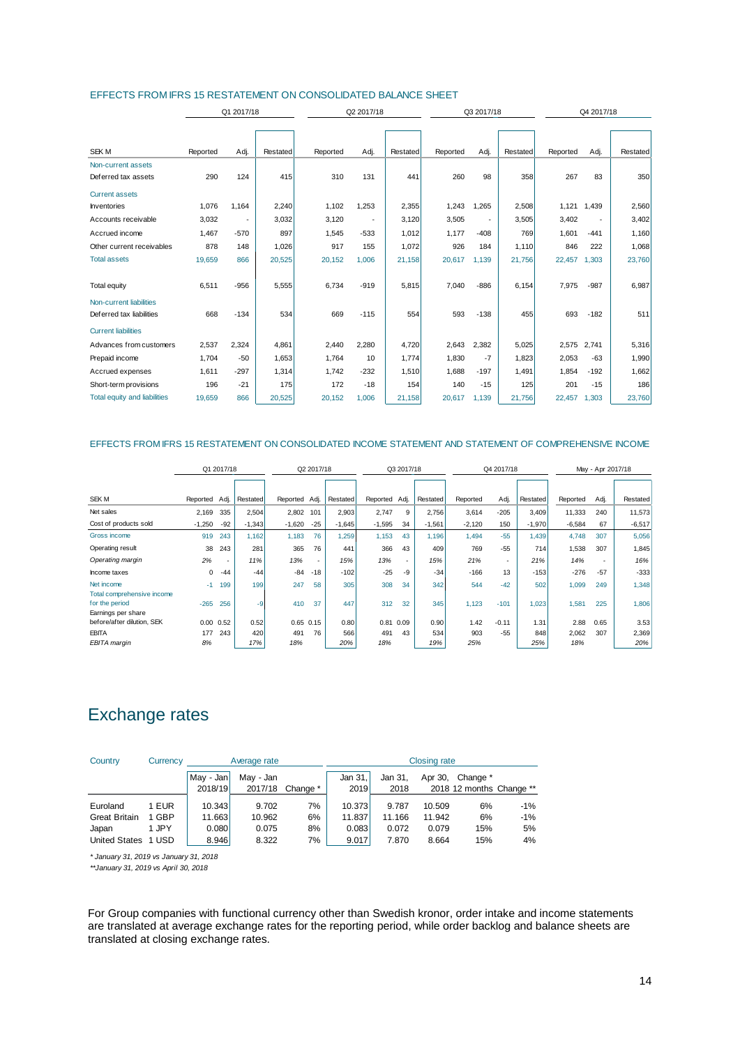|                              | Q1 2017/18 |                          |          |          | Q2 2017/18 |          |          | Q3 2017/18               |          | Q4 2017/18 |             |          |
|------------------------------|------------|--------------------------|----------|----------|------------|----------|----------|--------------------------|----------|------------|-------------|----------|
|                              |            |                          |          |          |            |          |          |                          |          |            |             |          |
|                              |            |                          |          |          |            |          |          |                          |          |            |             |          |
| <b>SEK M</b>                 | Reported   | Adj.                     | Restated | Reported | Adj.       | Restated | Reported | Adj.                     | Restated | Reported   | Adj.        | Restated |
| Non-current assets           |            |                          |          |          |            |          |          |                          |          |            |             |          |
| Deferred tax assets          | 290        | 124                      | 415      | 310      | 131        | 441      | 260      | 98                       | 358      | 267        | 83          | 350      |
| <b>Current assets</b>        |            |                          |          |          |            |          |          |                          |          |            |             |          |
| <b>Inventories</b>           | 1,076      | 1,164                    | 2,240    | 1,102    | 1,253      | 2,355    | 1,243    | 1,265                    | 2,508    | 1,121      | 1,439       | 2,560    |
| Accounts receivable          | 3,032      | $\overline{\phantom{a}}$ | 3,032    | 3,120    |            | 3,120    | 3,505    | $\overline{\phantom{a}}$ | 3,505    | 3,402      |             | 3,402    |
| Accrued income               | 1,467      | $-570$                   | 897      | 1,545    | $-533$     | 1,012    | 1,177    | $-408$                   | 769      | 1,601      | $-441$      | 1,160    |
| Other current receivables    | 878        | 148                      | 1,026    | 917      | 155        | 1,072    | 926      | 184                      | 1,110    | 846        | 222         | 1,068    |
| <b>Total assets</b>          | 19,659     | 866                      | 20,525   | 20,152   | 1,006      | 21,158   | 20,617   | 1,139                    | 21,756   | 22,457     | 1,303       | 23,760   |
|                              | 6,511      | $-956$                   | 5,555    | 6,734    | $-919$     | 5,815    | 7,040    | $-886$                   | 6,154    | 7,975      | $-987$      | 6,987    |
| Total equity                 |            |                          |          |          |            |          |          |                          |          |            |             |          |
| Non-current liabilities      |            |                          |          |          |            |          |          |                          |          |            |             |          |
| Deferred tax liabilities     | 668        | $-134$                   | 534      | 669      | $-115$     | 554      | 593      | $-138$                   | 455      | 693        | $-182$      | 511      |
| <b>Current liabilities</b>   |            |                          |          |          |            |          |          |                          |          |            |             |          |
| Advances from customers      | 2,537      | 2,324                    | 4.861    | 2,440    | 2,280      | 4,720    | 2,643    | 2,382                    | 5,025    |            | 2,575 2,741 | 5,316    |
| Prepaid income               | 1.704      | $-50$                    | 1,653    | 1,764    | 10         | 1.774    | 1,830    | $-7$                     | 1.823    | 2,053      | $-63$       | 1,990    |
| Accrued expenses             | 1.611      | $-297$                   | 1,314    | 1,742    | $-232$     | 1,510    | 1,688    | $-197$                   | 1.491    | 1,854      | $-192$      | 1,662    |
| Short-term provisions        | 196        | $-21$                    | 175      | 172      | $-18$      | 154      | 140      | $-15$                    | 125      | 201        | $-15$       | 186      |
| Total equity and liabilities | 19,659     | 866                      | 20,525   | 20,152   | 1,006      | 21,158   | 20,617   | 1,139                    | 21,756   | 22,457     | 1,303       | 23,760   |

#### EFFECTS FROM IFRS 15 RESTATEMENT ON CONSOLIDATED BALANCE SHEET

#### EFFECTS FROM IFRS 15 RESTATEMENT ON CONSOLIDATED INCOME STATEMENT AND STATEMENT OF COMPREHENSIVE INCOME

|                                                                    | Q1 2017/18        |       |            | Q2 2017/18    |       | Q3 2017/18 |               | Q4 2017/18               |            |            | May - Apr 2017/18 |            |              |       |              |
|--------------------------------------------------------------------|-------------------|-------|------------|---------------|-------|------------|---------------|--------------------------|------------|------------|-------------------|------------|--------------|-------|--------------|
|                                                                    |                   |       |            |               |       |            |               |                          |            |            |                   |            |              |       |              |
| SEK M                                                              | Reported Adj.     |       | Restated   | Reported Adj. |       | Restated   | Reported Adj. |                          | Restated   | Reported   | Adj.              | Restated   | Reported     | Adj.  | Restated     |
| Net sales                                                          | 2,169             | 335   | 2,504      | 2,802         | 101   | 2,903      | 2,747         | 9                        | 2.756      | 3,614      | $-205$            | 3,409      | 11,333       | 240   | 11,573       |
| Cost of products sold                                              | $-1,250$          | $-92$ | $-1,343$   | $-1,620$      | $-25$ | $-1,645$   | $-1,595$      | 34                       | $-1,561$   | $-2.120$   | 150               | $-1,970$   | $-6.584$     | 67    | $-6,517$     |
| Gross income                                                       | 919               | 243   | 1.162      | 1,183         | 76    | 1,259      | 1,153         | 43                       | 1.196      | 1.494      | $-55$             | 1.439      | 4,748        | 307   | 5,056        |
| Operating result                                                   | 38                | 243   | 281        | 365           | 76    | 441        | 366           | 43                       | 409        | 769        | $-55$             | 714        | 1,538        | 307   | 1,845        |
| Operating margin                                                   | 2%                | ٠     | 11%        | 13%           | ٠     | 15%        | 13%           | $\overline{\phantom{a}}$ | 15%        | 21%        | ۰.                | 21%        | 14%          | ж.    | 16%          |
| Income taxes                                                       | 0                 | $-44$ | $-44$      | $-84$         | $-18$ | $-102$     | $-25$         | -9                       | $-34$      | $-166$     | 13                | $-153$     | $-276$       | $-57$ | $-333$       |
| Net income                                                         | $-1$              | 199   | 199        | 247           | 58    | 305        | 308           | 34                       | 342        | 544        | $-42$             | 502        | 1,099        | 249   | 1,348        |
| Total comprehensive income<br>for the period<br>Earnings per share | $-265$            | 256   | $-9$       | 410           | 37    | 447        | 312           | 32                       | 345        | 1.123      | $-101$            | 1.023      | 1.581        | 225   | 1,806        |
| before/after dilution, SEK                                         | $0.00 \quad 0.52$ |       | 0.52       | $0.65$ $0.15$ |       | 0.80       | 0.81          | 0.09                     | 0.90       | 1.42       | $-0.11$           | 1.31       | 2.88         | 0.65  | 3.53         |
| <b>EBITA</b><br>EBITA margin                                       | 177<br>8%         | 243   | 420<br>17% | 491<br>18%    | 76    | 566<br>20% | 491<br>18%    | 43                       | 534<br>19% | 903<br>25% | $-55$             | 848<br>25% | 2,062<br>18% | 307   | 2,369<br>20% |

# Exchange rates

| Country              | Currency   |                      | Average rate         |          | <b>Closing rate</b> |                 |         |                                      |       |  |
|----------------------|------------|----------------------|----------------------|----------|---------------------|-----------------|---------|--------------------------------------|-------|--|
|                      |            | May - Jan<br>2018/19 | May - Jan<br>2017/18 | Change * | Jan 31.<br>2019     | Jan 31.<br>2018 | Apr 30. | Change *<br>2018 12 months Change ** |       |  |
| Euroland             | <b>EUR</b> | 10.343               | 9.702                | 7%       | 10.373              | 9.787           | 10.509  | 6%                                   | $-1%$ |  |
| <b>Great Britain</b> | 1 GBP      | 11.663               | 10.962               | 6%       | 11.837              | 11.166          | 11.942  | 6%                                   | $-1%$ |  |
| Japan                | 1 JPY      | 0.080                | 0.075                | 8%       | 0.083               | 0.072           | 0.079   | 15%                                  | 5%    |  |
| <b>United States</b> | 1 USD      | 8.946                | 8.322                | 7%       | 9.017               | 7.870           | 8.664   | 15%                                  | 4%    |  |

*\* January 31, 2019 vs January 31, 2018*

*\*\*January 31, 2019 vs April 30, 2018*

For Group companies with functional currency other than Swedish kronor, order intake and income statements are translated at average exchange rates for the reporting period, while order backlog and balance sheets are translated at closing exchange rates.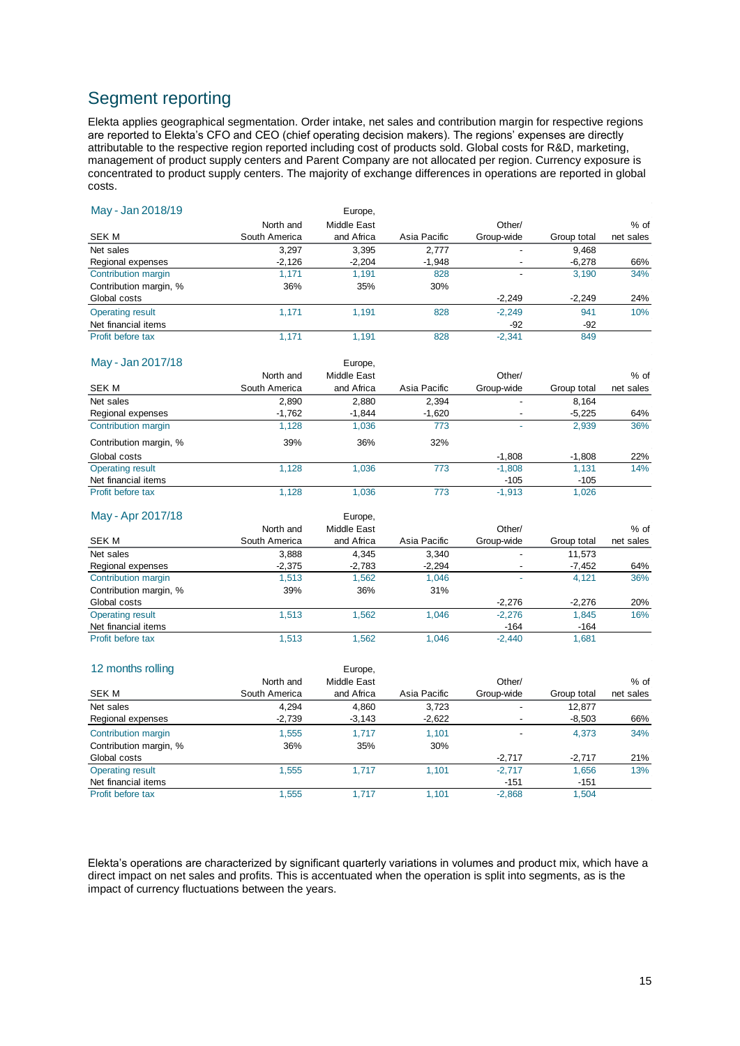# Segment reporting

Elekta applies geographical segmentation. Order intake, net sales and contribution margin for respective regions are reported to Elekta's CFO and CEO (chief operating decision makers). The regions' expenses are directly attributable to the respective region reported including cost of products sold. Global costs for R&D, marketing, management of product supply centers and Parent Company are not allocated per region. Currency exposure is concentrated to product supply centers. The majority of exchange differences in operations are reported in global costs.

| May - Jan 2018/19       |               | Europe,     |              |                          |             |           |
|-------------------------|---------------|-------------|--------------|--------------------------|-------------|-----------|
|                         | North and     | Middle East |              | Other/                   |             | % of      |
| <b>SEKM</b>             | South America | and Africa  | Asia Pacific | Group-wide               | Group total | net sales |
| Net sales               | 3,297         | 3,395       | 2,777        |                          | 9,468       |           |
| Regional expenses       | $-2,126$      | $-2,204$    | $-1,948$     |                          | $-6,278$    | 66%       |
| Contribution margin     | 1,171         | 1,191       | 828          |                          | 3,190       | 34%       |
| Contribution margin, %  | 36%           | 35%         | 30%          |                          |             |           |
| Global costs            |               |             |              | $-2,249$                 | $-2,249$    | 24%       |
| <b>Operating result</b> | 1,171         | 1,191       | 828          | $-2,249$                 | 941         | 10%       |
| Net financial items     |               |             |              | $-92$                    | $-92$       |           |
| Profit before tax       | 1,171         | 1,191       | 828          | $-2,341$                 | 849         |           |
| May - Jan 2017/18       |               | Europe,     |              |                          |             |           |
|                         | North and     | Middle East |              | Other/                   |             | % of      |
| <b>SEKM</b>             | South America | and Africa  | Asia Pacific | Group-wide               | Group total | net sales |
| Net sales               | 2,890         | 2,880       | 2,394        | $\overline{a}$           | 8,164       |           |
| Regional expenses       | $-1,762$      | $-1,844$    | $-1,620$     |                          | $-5,225$    | 64%       |
| Contribution margin     | 1,128         | 1,036       | 773          |                          | 2,939       | 36%       |
| Contribution margin, %  | 39%           | 36%         | 32%          |                          |             |           |
| Global costs            |               |             |              | $-1,808$                 | $-1,808$    | 22%       |
| <b>Operating result</b> | 1,128         | 1,036       | 773          | $-1,808$                 | 1,131       | 14%       |
| Net financial items     |               |             |              | -105                     | $-105$      |           |
| Profit before tax       | 1,128         | 1,036       | 773          | $-1.913$                 | 1.026       |           |
| May - Apr 2017/18       |               | Europe,     |              |                          |             |           |
|                         | North and     | Middle East |              | Other/                   |             | % of      |
| <b>SEKM</b>             | South America | and Africa  | Asia Pacific | Group-wide               | Group total | net sales |
| Net sales               | 3,888         | 4,345       | 3,340        |                          | 11,573      |           |
| Regional expenses       | $-2,375$      | $-2,783$    | $-2,294$     | $\overline{\phantom{a}}$ | $-7,452$    | 64%       |
| Contribution margin     | 1,513         | 1,562       | 1,046        |                          | 4,121       | 36%       |
| Contribution margin, %  | 39%           | 36%         | 31%          |                          |             |           |
| Global costs            |               |             |              | $-2,276$                 | $-2,276$    | 20%       |
| <b>Operating result</b> | 1,513         | 1,562       | 1,046        | $-2,276$                 | 1,845       | 16%       |
| Net financial items     |               |             |              | $-164$                   | $-164$      |           |
| Profit before tax       | 1,513         | 1,562       | 1,046        | $-2,440$                 | 1,681       |           |
| 12 months rolling       |               | Europe,     |              |                          |             |           |
|                         | North and     | Middle East |              | Other/                   |             | % of      |
| <b>SEK M</b>            | South America | and Africa  | Asia Pacific | Group-wide               | Group total | net sales |
| Net sales               | 4,294         | 4,860       | 3,723        | ÷,                       | 12,877      |           |
| Regional expenses       | $-2,739$      | $-3,143$    | $-2,622$     |                          | $-8,503$    | 66%       |
| Contribution margin     | 1,555         | 1,717       | 1,101        |                          | 4,373       | 34%       |
| Contribution margin, %  | 36%           | 35%         | 30%          |                          |             |           |
| Global costs            |               |             |              | $-2,717$                 | $-2,717$    | 21%       |

Elekta's operations are characterized by significant quarterly variations in volumes and product mix, which have a direct impact on net sales and profits. This is accentuated when the operation is split into segments, as is the impact of currency fluctuations between the years.

Operating result 1,555 1,717 1,101 -2,717 1,656 13%<br>
Net financial items 13%

Profit before tax **1,555** 1,717 1,101 -2,868 1,504

Net financial items<br>
Profit before tax 1,555 1,717 1,101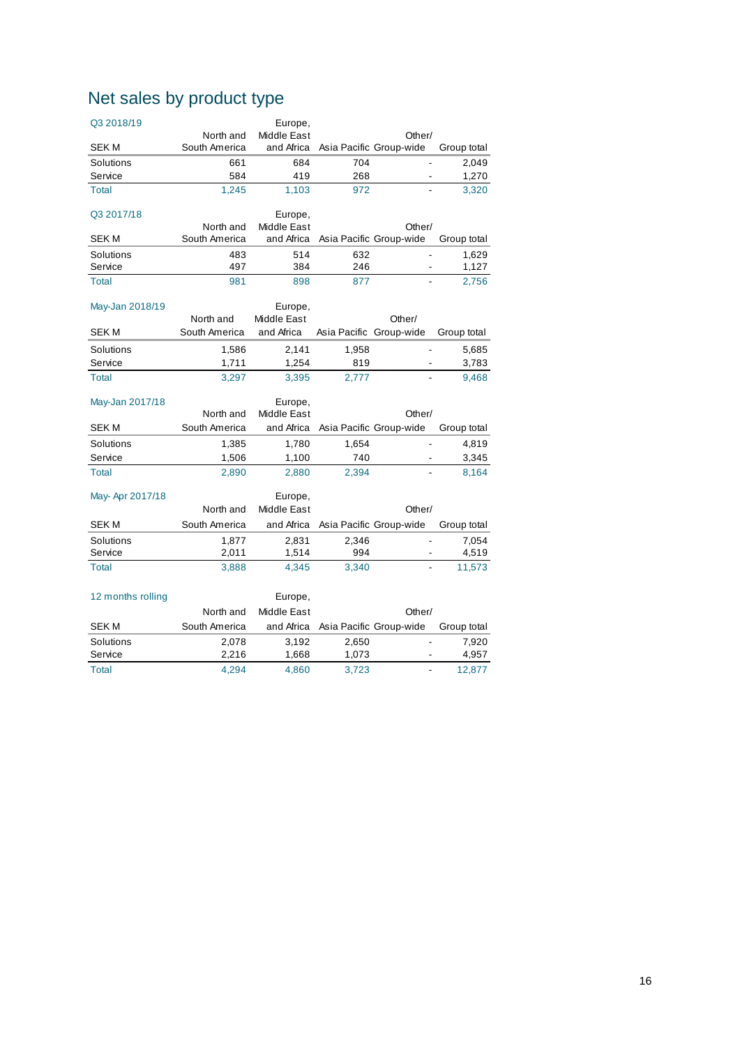# Net sales by product type

| Q3 2018/19        |               | Europe,            |                         |                          |             |
|-------------------|---------------|--------------------|-------------------------|--------------------------|-------------|
|                   | North and     | <b>Middle East</b> |                         | Other/                   |             |
| SEK M             | South America | and Africa         |                         | Asia Pacific Group-wide  | Group total |
| Solutions         | 661           | 684                | 704                     | $\overline{\phantom{a}}$ | 2,049       |
| Service           | 584           | 419                | 268                     |                          | 1,270       |
| Total             | 1,245         | 1,103              | 972                     |                          | 3,320       |
| Q3 2017/18        |               | Europe,            |                         |                          |             |
|                   | North and     | <b>Middle East</b> |                         | Other/                   |             |
| <b>SEKM</b>       | South America | and Africa         |                         | Asia Pacific Group-wide  | Group total |
| Solutions         | 483           | 514                | 632                     | $\blacksquare$           | 1,629       |
| Service           | 497           | 384                | 246                     | ä,                       | 1,127       |
| Total             | 981           | 898                | 877                     |                          | 2,756       |
| May-Jan 2018/19   |               | Europe,            |                         |                          |             |
|                   | North and     | Middle East        |                         | Other/                   |             |
| <b>SEKM</b>       | South America | and Africa         | Asia Pacific Group-wide |                          | Group total |
| Solutions         | 1,586         | 2,141              | 1,958                   |                          | 5,685       |
| Service           | 1,711         | 1,254              | 819                     |                          | 3,783       |
| Total             | 3,297         | 3,395              | 2,777                   |                          | 9,468       |
| May-Jan 2017/18   |               | Europe,            |                         |                          |             |
|                   | North and     | Middle East        |                         | Other/                   |             |
| <b>SEKM</b>       | South America | and Africa         |                         | Asia Pacific Group-wide  | Group total |
| Solutions         | 1,385         | 1,780              | 1,654                   | ÷,                       | 4,819       |
| Service           | 1,506         | 1,100              | 740                     | $\blacksquare$           | 3,345       |
| Total             | 2,890         | 2,880              | 2,394                   |                          | 8,164       |
| May-Apr 2017/18   |               | Europe,            |                         |                          |             |
|                   | North and     | Middle East        |                         | Other/                   |             |
| <b>SEKM</b>       | South America | and Africa         |                         | Asia Pacific Group-wide  | Group total |
| Solutions         | 1,877         | 2,831              | 2,346                   | $\overline{a}$           | 7,054       |
| Service           | 2,011         | 1,514              | 994                     | $\overline{\phantom{a}}$ | 4,519       |
| Total             | 3,888         | 4,345              | 3,340                   |                          | 11,573      |
|                   |               |                    |                         |                          |             |
| 12 months rolling |               | Europe,            |                         |                          |             |
|                   | North and     | Middle East        |                         | Other/                   |             |
| SEK M             | South America | and Africa         |                         | Asia Pacific Group-wide  | Group total |
| Solutions         | 2,078         | 3,192              | 2,650                   | $\frac{1}{2}$            | 7,920       |
| Service           | 2,216         | 1,668              | 1,073                   |                          | 4,957       |
| Total             | 4,294         | 4,860              | 3,723                   | L.                       | 12,877      |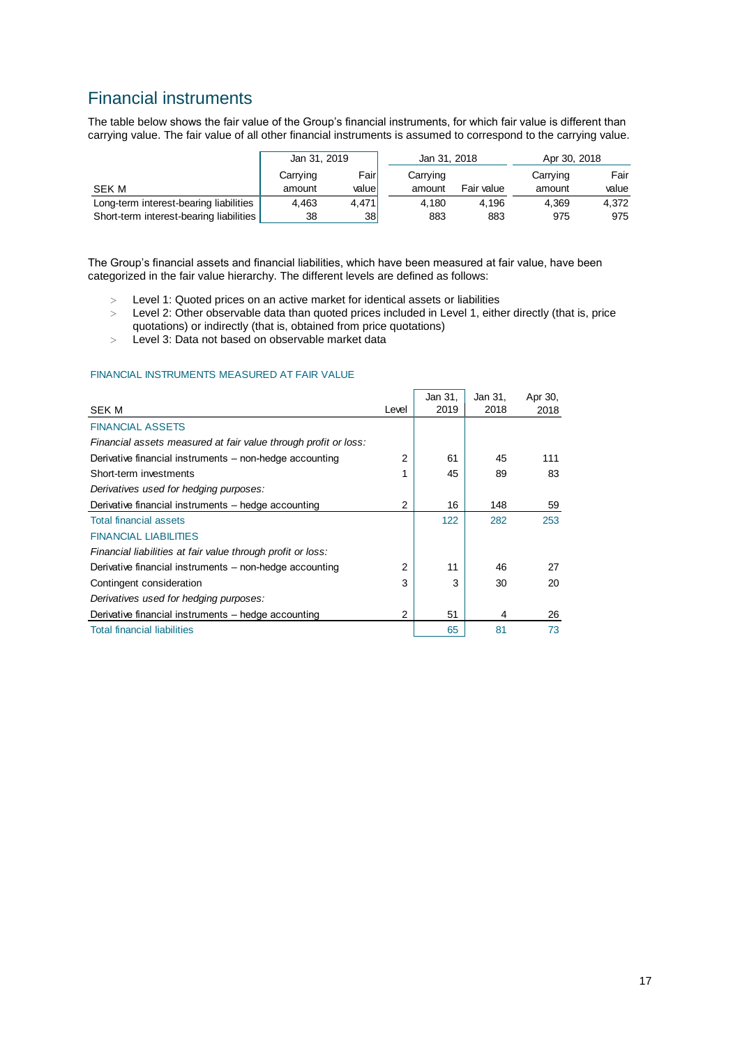# Financial instruments

The table below shows the fair value of the Group's financial instruments, for which fair value is different than carrying value. The fair value of all other financial instruments is assumed to correspond to the carrying value.

|                                         | Jan 31, 2019 |        |          | Jan 31, 2018 | Apr 30, 2018 |       |  |
|-----------------------------------------|--------------|--------|----------|--------------|--------------|-------|--|
|                                         | Carrying     | Fairl  | Carrying |              | Carrying     | Fair  |  |
| SEK M                                   | amount       | valuel | amount   | Fair value   | amount       | value |  |
| Long-term interest-bearing liabilities  | 4.463        | 4.471  | 4.180    | 4.196        | 4.369        | 4.372 |  |
| Short-term interest-bearing liabilities | 38           | 38I    | 883      | 883          | 975          | 975   |  |

The Group's financial assets and financial liabilities, which have been measured at fair value, have been categorized in the fair value hierarchy. The different levels are defined as follows:

- Level 1: Quoted prices on an active market for identical assets or liabilities
- Level 2: Other observable data than quoted prices included in Level 1, either directly (that is, price quotations) or indirectly (that is, obtained from price quotations)
- Level 3: Data not based on observable market data

#### FINANCIAL INSTRUMENTS MEASURED AT FAIR VALUE

| SEK M                                                           | Level | Jan 31,<br>2019 | Jan 31,<br>2018 | Apr 30,<br>2018 |
|-----------------------------------------------------------------|-------|-----------------|-----------------|-----------------|
|                                                                 |       |                 |                 |                 |
| <b>FINANCIAL ASSETS</b>                                         |       |                 |                 |                 |
| Financial assets measured at fair value through profit or loss: |       |                 |                 |                 |
| Derivative financial instruments – non-hedge accounting         | 2     | 61              | 45              | 111             |
| Short-term investments                                          |       | 45              | 89              | 83              |
| Derivatives used for hedging purposes:                          |       |                 |                 |                 |
| Derivative financial instruments – hedge accounting             | 2     | 16              | 148             | 59              |
| <b>Total financial assets</b>                                   |       | 122             | 282             | 253             |
| <b>FINANCIAL LIABILITIES</b>                                    |       |                 |                 |                 |
| Financial liabilities at fair value through profit or loss:     |       |                 |                 |                 |
| Derivative financial instruments – non-hedge accounting         | 2     | 11              | 46              | 27              |
| Contingent consideration                                        | 3     | 3               | 30              | 20              |
| Derivatives used for hedging purposes:                          |       |                 |                 |                 |
| Derivative financial instruments – hedge accounting             | 2     | 51              | 4               | 26              |
| <b>Total financial liabilities</b>                              |       | 65              | 81              | 73              |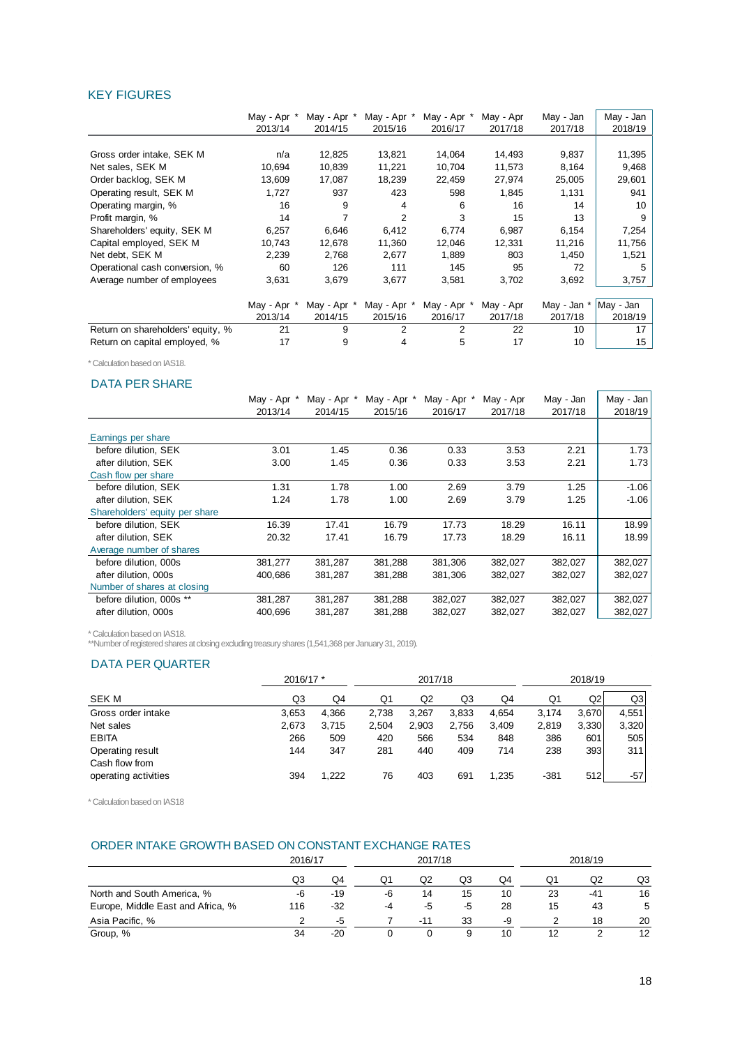#### KEY FIGURES

|                                   | May - Apr * | May - Apr * | May - Apr * | May - Apr *    | May - Apr | May - Jan | May - Jan |
|-----------------------------------|-------------|-------------|-------------|----------------|-----------|-----------|-----------|
|                                   | 2013/14     | 2014/15     | 2015/16     | 2016/17        | 2017/18   | 2017/18   | 2018/19   |
|                                   |             |             |             |                |           |           |           |
| Gross order intake, SEK M         | n/a         | 12,825      | 13,821      | 14,064         | 14,493    | 9,837     | 11,395    |
| Net sales, SEK M                  | 10,694      | 10,839      | 11,221      | 10,704         | 11,573    | 8,164     | 9,468     |
| Order backlog, SEK M              | 13,609      | 17,087      | 18,239      | 22,459         | 27,974    | 25,005    | 29,601    |
| Operating result, SEK M           | 1,727       | 937         | 423         | 598            | 1,845     | 1,131     | 941       |
| Operating margin, %               | 16          | 9           | 4           | 6              | 16        | 14        | 10        |
| Profit margin, %                  | 14          |             | 2           | 3              | 15        | 13        | 9         |
| Shareholders' equity, SEK M       | 6,257       | 6,646       | 6,412       | 6,774          | 6,987     | 6,154     | 7,254     |
| Capital employed, SEK M           | 10,743      | 12,678      | 11,360      | 12,046         | 12,331    | 11,216    | 11,756    |
| Net debt, SEK M                   | 2,239       | 2,768       | 2,677       | 1,889          | 803       | 1,450     | 1,521     |
| Operational cash conversion, %    | 60          | 126         | 111         | 145            | 95        | 72        | 5         |
| Average number of employees       | 3,631       | 3,679       | 3,677       | 3,581          | 3,702     | 3,692     | 3,757     |
|                                   |             |             |             |                |           |           |           |
|                                   | May - Apr * | May - Apr * | May - Apr * | May - Apr *    | May - Apr | May - Jan | May - Jan |
|                                   | 2013/14     | 2014/15     | 2015/16     | 2016/17        | 2017/18   | 2017/18   | 2018/19   |
| Return on shareholders' equity, % | 21          | 9           | 2           | $\overline{2}$ | 22        | 10        | 17        |
| Return on capital employed, %     | 17          | 9           |             | 5              | 17        | 10        | 15        |

\* Calculation based on IAS18.

#### DATA PER SHARE

| May - Jan |
|-----------|
| 2018/19   |
|           |
|           |
| 1.73      |
| 1.73      |
|           |
| $-1.06$   |
| $-1.06$   |
|           |
| 18.99     |
| 18.99     |
|           |
| 382,027   |
| 382,027   |
|           |
| 382,027   |
| 382,027   |
|           |

\* Calculation based on IAS18.

\*\*Number of registered shares at closing excluding treasury shares (1,541,368 per January 31, 2019).

#### DATA PER QUARTER

|                                    | 2016/17 * |       |       | 2017/18 |       |       |        | 2018/19 |       |
|------------------------------------|-----------|-------|-------|---------|-------|-------|--------|---------|-------|
| SEK M                              | Q3        | Q4    | Q1    | Q2      | Q3    | Q4    | Q1     | Q2      | Q3    |
| Gross order intake                 | 3,653     | 4.366 | 2,738 | 3.267   | 3,833 | 4,654 | 3,174  | 3.670   | 4.551 |
| Net sales                          | 2,673     | 3.715 | 2,504 | 2,903   | 2,756 | 3,409 | 2,819  | 3,330   | 3,320 |
| <b>EBITA</b>                       | 266       | 509   | 420   | 566     | 534   | 848   | 386    | 601     | 505   |
| Operating result<br>Cash flow from | 144       | 347   | 281   | 440     | 409   | 714   | 238    | 393     | 311   |
| operating activities               | 394       | 1.222 | 76    | 403     | 691   | 1,235 | $-381$ | 512     | $-57$ |

\* Calculation based on IAS18

#### ORDER INTAKE GROWTH BASED ON CONSTANT EXCHANGE RATES

|                                   | 2016/17 |       |    | 2017/18 |    |    |    | 2018/19 |                   |
|-----------------------------------|---------|-------|----|---------|----|----|----|---------|-------------------|
|                                   | Q3      | Q4    | Q1 | Q2      | Q3 | Q4 | Q1 | Q2      | Q3                |
| North and South America, %        | -6      | -19   | -6 | 14      | 15 | 10 | 23 | $-41$   | 16                |
| Europe, Middle East and Africa, % | 116     | $-32$ | -4 | -5      | -5 | 28 | 15 | 43      | 5                 |
| Asia Pacific, %                   |         | -5    |    | $-11$   | 33 | -9 |    | 18      | 20                |
| Group, %                          | 34      | $-20$ |    |         |    | 10 |    |         | $12 \overline{ }$ |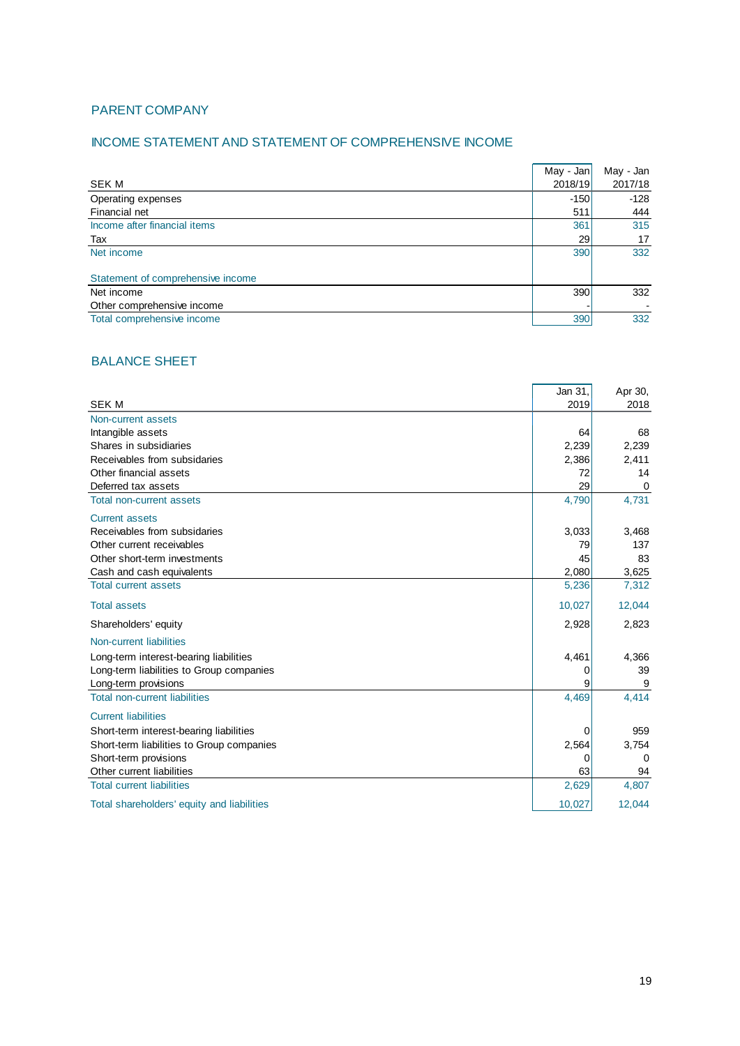## PARENT COMPANY

## INCOME STATEMENT AND STATEMENT OF COMPREHENSIVE INCOME

|                                   | May - Jan | May - Jan |
|-----------------------------------|-----------|-----------|
| SEK M                             | 2018/19   | 2017/18   |
| Operating expenses                | $-150$    | $-128$    |
| Financial net                     | 511       | 444       |
| Income after financial items      | 361       | 315       |
| Tax                               | 29        | 17        |
| Net income                        | 390       | 332       |
|                                   |           |           |
| Statement of comprehensive income |           |           |
| Net income                        | 390       | 332       |
| Other comprehensive income        |           |           |
| Total comprehensive income        | 390       | 332       |

## BALANCE SHEET

|                                            | Jan 31, | Apr 30,     |
|--------------------------------------------|---------|-------------|
| <b>SEK M</b>                               | 2019    | 2018        |
| Non-current assets                         |         |             |
| Intangible assets                          | 64      | 68          |
| Shares in subsidiaries                     | 2,239   | 2,239       |
| Receivables from subsidaries               | 2,386   | 2,411       |
| Other financial assets                     | 72      | 14          |
| Deferred tax assets                        | 29      | $\mathbf 0$ |
| Total non-current assets                   | 4,790   | 4,731       |
| <b>Current assets</b>                      |         |             |
| Receivables from subsidaries               | 3,033   | 3,468       |
| Other current receivables                  | 79      | 137         |
| Other short-term investments               | 45      | 83          |
| Cash and cash equivalents                  | 2,080   | 3,625       |
| <b>Total current assets</b>                | 5,236   | 7,312       |
| <b>Total assets</b>                        | 10,027  | 12,044      |
| Shareholders' equity                       | 2,928   | 2,823       |
| Non-current liabilities                    |         |             |
| Long-term interest-bearing liabilities     | 4,461   | 4,366       |
| Long-term liabilities to Group companies   | 0       | 39          |
| Long-term provisions                       | 9       | 9           |
| <b>Total non-current liabilities</b>       | 4,469   | 4,414       |
| <b>Current liabilities</b>                 |         |             |
| Short-term interest-bearing liabilities    | 0       | 959         |
| Short-term liabilities to Group companies  | 2,564   | 3,754       |
| Short-term provisions                      | 0       | 0           |
| Other current liabilities                  | 63      | 94          |
| <b>Total current liabilities</b>           | 2,629   | 4,807       |
| Total shareholders' equity and liabilities | 10,027  | 12,044      |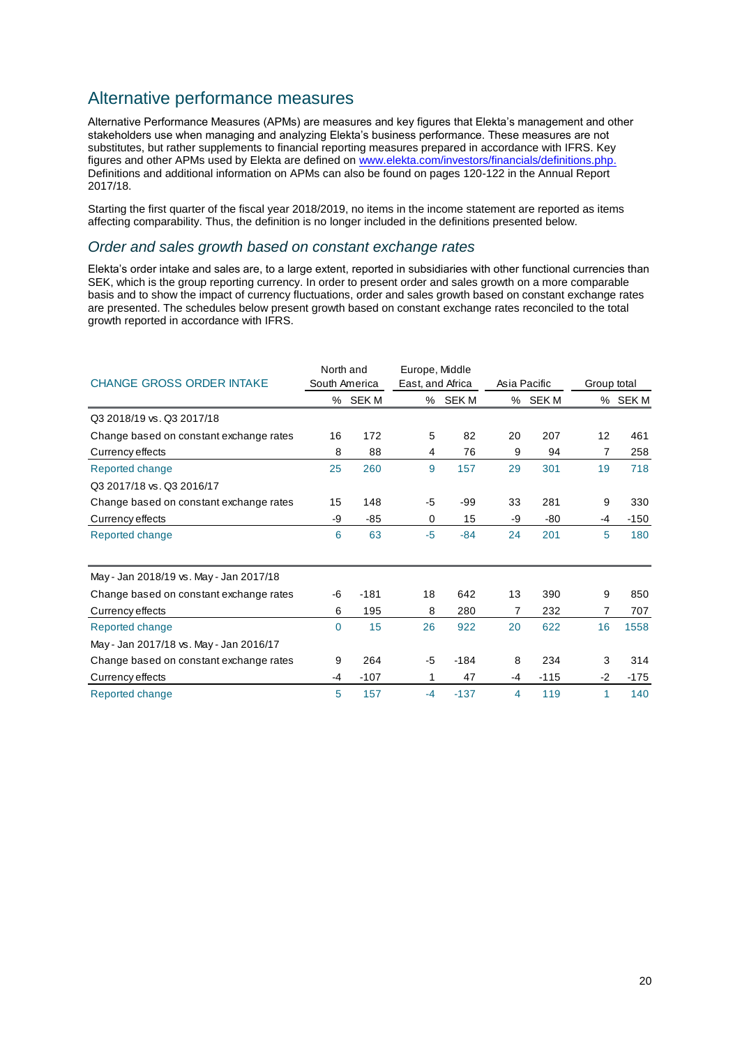# Alternative performance measures

Alternative Performance Measures (APMs) are measures and key figures that Elekta's management and other stakeholders use when managing and analyzing Elekta's business performance. These measures are not substitutes, but rather supplements to financial reporting measures prepared in accordance with IFRS. Key figures and other APMs used by Elekta are defined on [www.elekta.com/investors/financials/definitions.php.](http://www.elekta.com/investors/financials/definitions.php) Definitions and additional information on APMs can also be found on pages 120-122 in the Annual Report 2017/18.

Starting the first quarter of the fiscal year 2018/2019, no items in the income statement are reported as items affecting comparability. Thus, the definition is no longer included in the definitions presented below.

#### *Order and sales growth based on constant exchange rates*

Elekta's order intake and sales are, to a large extent, reported in subsidiaries with other functional currencies than SEK, which is the group reporting currency. In order to present order and sales growth on a more comparable basis and to show the impact of currency fluctuations, order and sales growth based on constant exchange rates are presented. The schedules below present growth based on constant exchange rates reconciled to the total growth reported in accordance with IFRS.

|                                         | North and |               | Europe, Middle   |        |    |              |             |         |
|-----------------------------------------|-----------|---------------|------------------|--------|----|--------------|-------------|---------|
| <b>CHANGE GROSS ORDER INTAKE</b>        |           | South America | East, and Africa |        |    | Asia Pacific | Group total |         |
|                                         |           | % SEK M       | %                | SEK M  |    | % SEK M      |             | % SEK M |
| Q3 2018/19 vs. Q3 2017/18               |           |               |                  |        |    |              |             |         |
| Change based on constant exchange rates | 16        | 172           | 5                | 82     | 20 | 207          | 12          | 461     |
| Currency effects                        | 8         | 88            | 4                | 76     | 9  | 94           | 7           | 258     |
| Reported change                         | 25        | 260           | 9                | 157    | 29 | 301          | 19          | 718     |
| Q3 2017/18 vs. Q3 2016/17               |           |               |                  |        |    |              |             |         |
| Change based on constant exchange rates | 15        | 148           | -5               | -99    | 33 | 281          | 9           | 330     |
| Currency effects                        | -9        | $-85$         | 0                | 15     | -9 | $-80$        | -4          | $-150$  |
| Reported change                         | 6         | 63            | $-5$             | $-84$  | 24 | 201          | 5           | 180     |
| May - Jan 2018/19 vs. May - Jan 2017/18 |           |               |                  |        |    |              |             |         |
| Change based on constant exchange rates | -6        | $-181$        | 18               | 642    | 13 | 390          | 9           | 850     |
| Currency effects                        | 6         | 195           | 8                | 280    | 7  | 232          | 7           | 707     |
| Reported change                         | $\Omega$  | 15            | 26               | 922    | 20 | 622          | 16          | 1558    |
| May - Jan 2017/18 vs. May - Jan 2016/17 |           |               |                  |        |    |              |             |         |
| Change based on constant exchange rates | 9         | 264           | $-5$             | $-184$ | 8  | 234          | 3           | 314     |
| Currency effects                        | -4        | $-107$        | 1                | 47     | -4 | $-115$       | $-2$        | $-175$  |
| Reported change                         | 5         | 157           | $-4$             | $-137$ | 4  | 119          | 1           | 140     |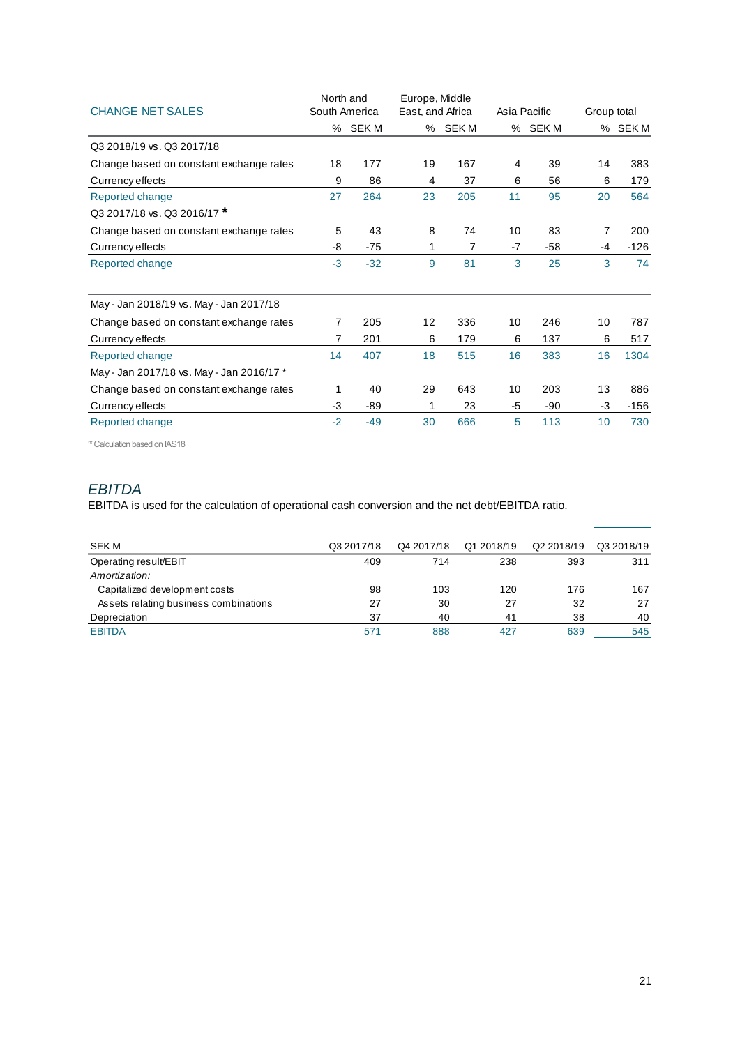|                                           | North and     |         | Europe, Middle   |         |    |              |             |         |
|-------------------------------------------|---------------|---------|------------------|---------|----|--------------|-------------|---------|
| <b>CHANGE NET SALES</b>                   | South America |         | East, and Africa |         |    | Asia Pacific | Group total |         |
|                                           |               | % SEK M |                  | % SEK M |    | % SEK M      |             | % SEK M |
| Q3 2018/19 vs. Q3 2017/18                 |               |         |                  |         |    |              |             |         |
| Change based on constant exchange rates   | 18            | 177     | 19               | 167     | 4  | 39           | 14          | 383     |
| Currency effects                          | 9             | 86      | 4                | 37      | 6  | 56           | 6           | 179     |
| Reported change                           | 27            | 264     | 23               | 205     | 11 | 95           | 20          | 564     |
| Q3 2017/18 vs. Q3 2016/17 *               |               |         |                  |         |    |              |             |         |
| Change based on constant exchange rates   | 5             | 43      | 8                | 74      | 10 | 83           | 7           | 200     |
| Currency effects                          | -8            | $-75$   | 1                | 7       | -7 | $-58$        | -4          | $-126$  |
| Reported change                           | $-3$          | $-32$   | 9                | 81      | 3  | 25           | 3           | 74      |
| May - Jan 2018/19 vs. May - Jan 2017/18   |               |         |                  |         |    |              |             |         |
| Change based on constant exchange rates   | 7             | 205     | 12               | 336     | 10 | 246          | 10          | 787     |
| Currency effects                          | 7             | 201     | 6                | 179     | 6  | 137          | 6           | 517     |
| Reported change                           | 14            | 407     | 18               | 515     | 16 | 383          | 16          | 1304    |
| May - Jan 2017/18 vs. May - Jan 2016/17 * |               |         |                  |         |    |              |             |         |
| Change based on constant exchange rates   | 1             | 40      | 29               | 643     | 10 | 203          | 13          | 886     |
| Currency effects                          | $-3$          | $-89$   | 1                | 23      | -5 | $-90$        | $-3$        | $-156$  |
| Reported change                           | $-2$          | $-49$   | 30               | 666     | 5  | 113          | 10          | 730     |

'\* Calculation based on IAS18

## *EBITDA*

EBITDA is used for the calculation of operational cash conversion and the net debt/EBITDA ratio.

| <b>SEK M</b>                          | Q3 2017/18 | Q4 2017/18 | Q1 2018/19 | Q2 2018/19 | Q3 2018/19      |
|---------------------------------------|------------|------------|------------|------------|-----------------|
| Operating result/EBIT                 | 409        | 714        | 238        | 393        | 311             |
| Amortization:                         |            |            |            |            |                 |
| Capitalized development costs         | 98         | 103        | 120        | 176        | 1671            |
| Assets relating business combinations | 27         | 30         | 27         | 32         | 27 <sup>1</sup> |
| Depreciation                          | 37         | 40         | 41         | 38         | 40 l            |
| <b>EBITDA</b>                         | 571        | 888        | 427        | 639        | 545             |

 $\overline{a}$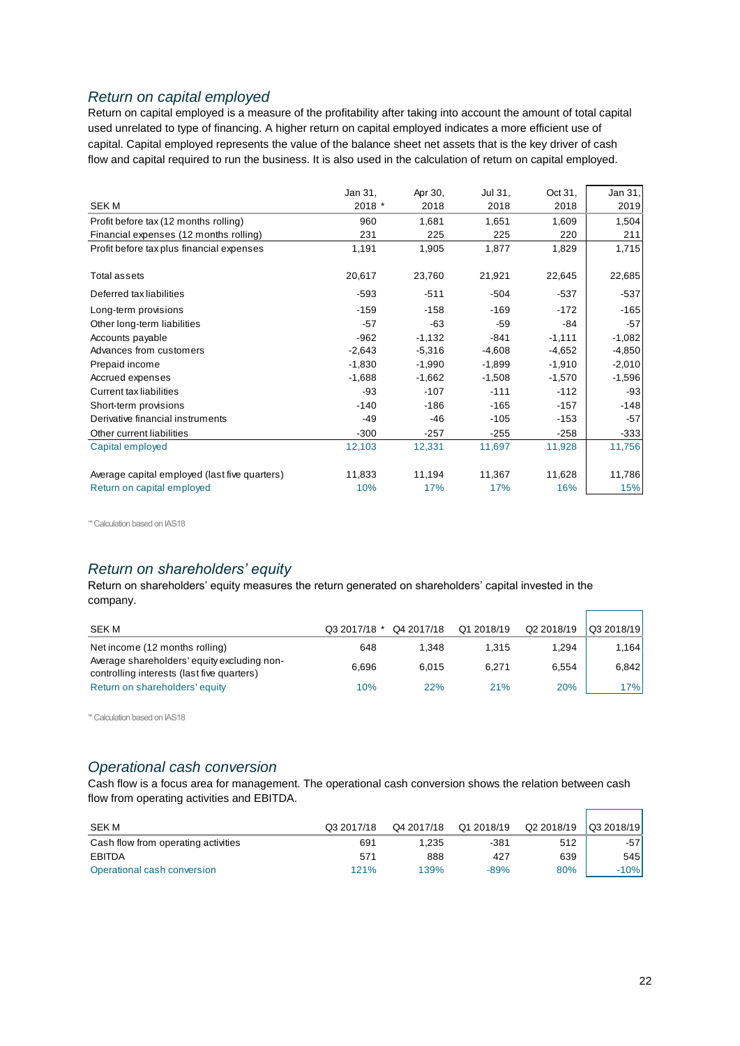## *Return on capital employed*

Return on capital employed is a measure of the profitability after taking into account the amount of total capital used unrelated to type of financing. A higher return on capital employed indicates a more efficient use of capital. Capital employed represents the value of the balance sheet net assets that is the key driver of cash flow and capital required to run the business. It is also used in the calculation of return on capital employed.

|                                               | Jan 31,  | Apr 30,  | Jul 31,  | Oct 31,  | Jan 31,  |
|-----------------------------------------------|----------|----------|----------|----------|----------|
| <b>SEKM</b>                                   | 2018 *   | 2018     | 2018     | 2018     | 2019     |
| Profit before tax (12 months rolling)         | 960      | 1,681    | 1,651    | 1,609    | 1,504    |
| Financial expenses (12 months rolling)        | 231      | 225      | 225      | 220      | 211      |
| Profit before tax plus financial expenses     | 1,191    | 1,905    | 1,877    | 1,829    | 1,715    |
| Total assets                                  | 20,617   | 23,760   | 21,921   | 22,645   | 22,685   |
| Deferred tax liabilities                      | $-593$   | $-511$   | $-504$   | $-537$   | $-537$   |
| Long-term provisions                          | $-159$   | $-158$   | $-169$   | $-172$   | $-165$   |
| Other long-term liabilities                   | $-57$    | $-63$    | $-59$    | $-84$    | $-57$    |
| Accounts payable                              | $-962$   | $-1,132$ | $-841$   | $-1,111$ | $-1,082$ |
| Advances from customers                       | $-2,643$ | $-5,316$ | $-4,608$ | $-4,652$ | $-4,850$ |
| Prepaid income                                | $-1,830$ | $-1,990$ | $-1,899$ | $-1,910$ | $-2,010$ |
| Accrued expenses                              | $-1,688$ | $-1,662$ | $-1,508$ | $-1,570$ | $-1,596$ |
| Current tax liabilities                       | $-93$    | $-107$   | $-111$   | $-112$   | $-93$    |
| Short-term provisions                         | $-140$   | $-186$   | $-165$   | $-157$   | $-148$   |
| Derivative financial instruments              | $-49$    | $-46$    | $-105$   | $-153$   | $-57$    |
| Other current liabilities                     | $-300$   | $-257$   | $-255$   | $-258$   | $-333$   |
| Capital employed                              | 12,103   | 12,331   | 11,697   | 11,928   | 11,756   |
| Average capital employed (last five quarters) | 11,833   | 11,194   | 11,367   | 11,628   | 11,786   |
| Return on capital employed                    | 10%      | 17%      | 17%      | 16%      | 15%      |

'\* Calculation based on IAS18

# *Return on shareholders' equity*

Return on shareholders' equity measures the return generated on shareholders' capital invested in the company.

| <b>SEK M</b>                                                                              | Q3 2017/18 * | Q4 2017/18 | Q1 2018/19 | Q2 2018/19 | Q3 2018/19 |
|-------------------------------------------------------------------------------------------|--------------|------------|------------|------------|------------|
| Net income (12 months rolling)                                                            | 648          | 1.348      | 1.315      | 1.294      | 1.164 l    |
| Average shareholders' equity excluding non-<br>controlling interests (last five quarters) | 6.696        | 6.015      | 6.271      | 6.554      | 6.842      |
| Return on shareholders' equity                                                            | 10%          | 22%        | 21%        | 20%        | 17% l      |

'\* Calculation based on IAS18

## *Operational cash conversion*

Cash flow is a focus area for management. The operational cash conversion shows the relation between cash flow from operating activities and EBITDA.

| SEK M                               | Q3 2017/18 | Q4 2017/18 | Q1 2018/19 | Q2 2018/19 | $\sqrt{Q32018/19}$ |
|-------------------------------------|------------|------------|------------|------------|--------------------|
| Cash flow from operating activities | 691        | 1.235      | -381       | 512        | -571               |
| EBITDA                              | 571        | 888        | 427        | 639        | 545 l              |
| Operational cash conversion         | 121%       | 139%       | -89%       | 80%        | $-10%$             |

 $\Gamma$ 

 $\blacksquare$ 

٦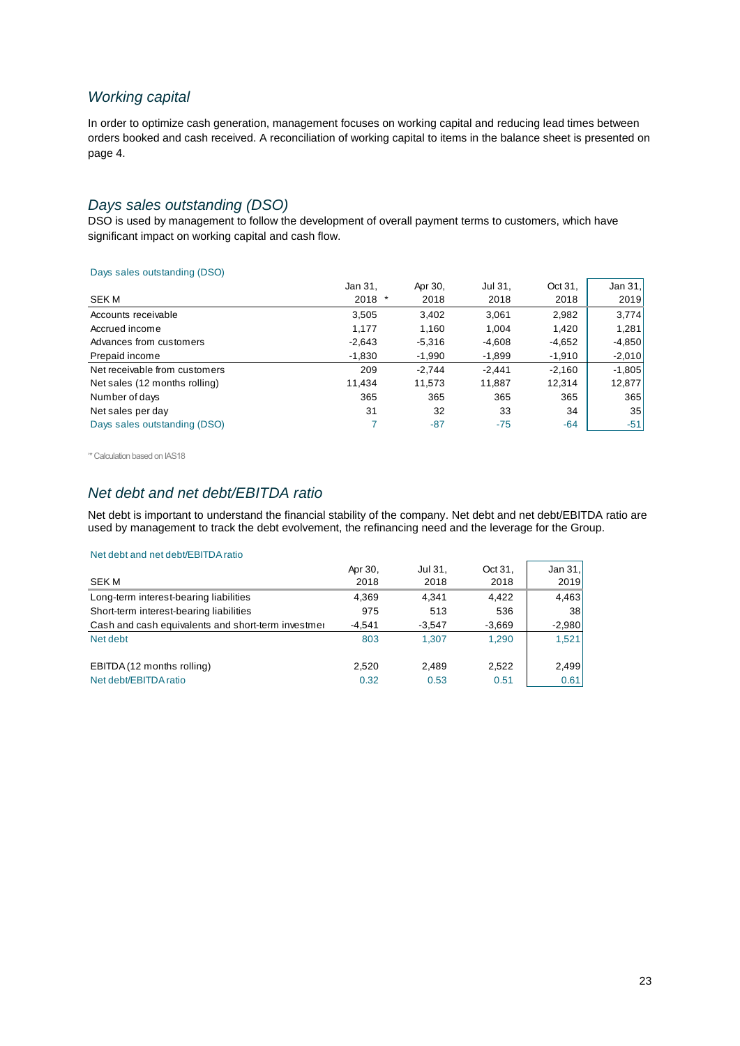### *Working capital*

In order to optimize cash generation, management focuses on working capital and reducing lead times between orders booked and cash received. A reconciliation of working capital to items in the balance sheet is presented on page 4.

## *Days sales outstanding (DSO)*

DSO is used by management to follow the development of overall payment terms to customers, which have significant impact on working capital and cash flow.

#### Days sales outstanding (DSO)

|                               | Jan 31,  | Apr 30,  | Jul 31,  | Oct 31,  | Jan $31.$ |
|-------------------------------|----------|----------|----------|----------|-----------|
| SEK M                         | 2018     | 2018     | 2018     | 2018     | 2019      |
| Accounts receivable           | 3,505    | 3,402    | 3.061    | 2,982    | 3,774     |
| Accrued income                | 1,177    | 1,160    | 1,004    | 1,420    | 1,281     |
| Advances from customers       | $-2,643$ | $-5,316$ | $-4,608$ | $-4,652$ | $-4,850$  |
| Prepaid income                | $-1,830$ | $-1,990$ | $-1,899$ | $-1,910$ | $-2,010$  |
| Net receivable from customers | 209      | $-2.744$ | $-2.441$ | $-2,160$ | $-1,805$  |
| Net sales (12 months rolling) | 11.434   | 11,573   | 11.887   | 12.314   | 12,877    |
| Number of days                | 365      | 365      | 365      | 365      | 365       |
| Net sales per day             | 31       | 32       | 33       | 34       | 35        |
| Days sales outstanding (DSO)  |          | $-87$    | $-75$    | $-64$    | $-51$     |

'\* Calculation based on IAS18

# *Net debt and net debt/EBITDA ratio*

Net debt is important to understand the financial stability of the company. Net debt and net debt/EBITDA ratio are used by management to track the debt evolvement, the refinancing need and the leverage for the Group.

#### Net debt and net debt/EBITDA ratio

| <b>SEKM</b>                                         | Apr 30.<br>2018 | Jul 31.<br>2018 | Oct 31.<br>2018 | Jan 31,<br>2019 |
|-----------------------------------------------------|-----------------|-----------------|-----------------|-----------------|
| Long-term interest-bearing liabilities              | 4,369           | 4.341           | 4.422           | 4,463           |
| Short-term interest-bearing liabilities             | 975             | 513             | 536             | 38 <sup>1</sup> |
| Cash and cash equivalents and short-term investment | $-4.541$        | $-3.547$        | $-3,669$        | $-2,980$        |
| Net debt                                            | 803             | 1.307           | 1.290           | 1.521           |
| EBITDA (12 months rolling)                          | 2,520           | 2.489           | 2.522           | 2,499           |
| Net debt/EBITDA ratio                               | 0.32            | 0.53            | 0.51            | 0.61            |